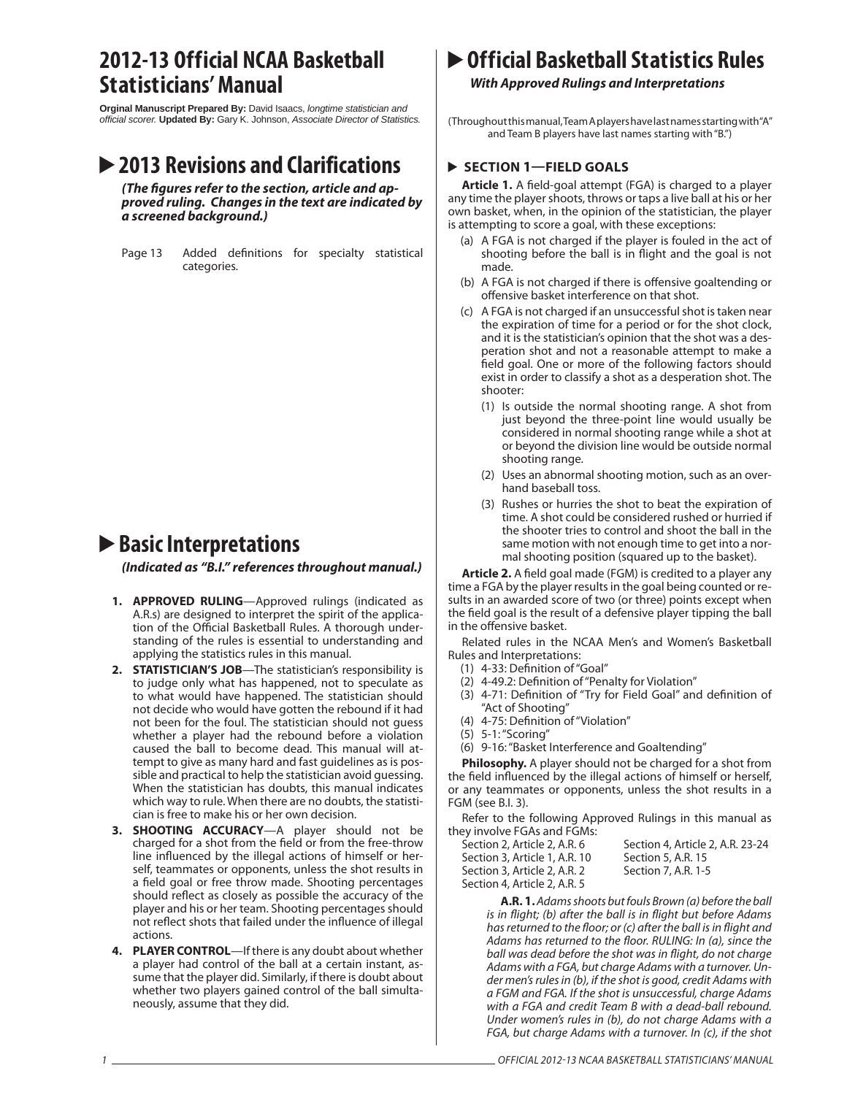## **2012-13 Official NCAA Basketball Statisticians' Manual**

**Orginal Manuscript Prepared By:** David Isaacs, *longtime statistician and official scorer.* **Updated By:** Gary K. Johnson, *Associate Director of Statistics.*

## **2013 Revisions and Clarifications**

(The figures refer to the section, article and ap*proved ruling. Changes in the text are indicated by a screened background.)*

Page 13 Added definitions for specialty statistical categories.

# **Basic Interpretations**

*(Indicated as "B.I." references throughout manual.)*

- **1. APPROVED RULING**—Approved rulings (indicated as A.R.s) are designed to interpret the spirit of the application of the Official Basketball Rules. A thorough understanding of the rules is essential to understanding and applying the statistics rules in this manual.
- **2. STATISTICIAN'S JOB**—The statistician's responsibility is to judge only what has happened, not to speculate as to what would have happened. The statistician should not decide who would have gotten the rebound if it had not been for the foul. The statistician should not guess whether a player had the rebound before a violation caused the ball to become dead. This manual will attempt to give as many hard and fast guidelines as is possible and practical to help the statistician avoid guessing. When the statistician has doubts, this manual indicates which way to rule. When there are no doubts, the statistician is free to make his or her own decision.
- **3. SHOOTING ACCURACY**—A player should not be charged for a shot from the field or from the free-throw line influenced by the illegal actions of himself or herself, teammates or opponents, unless the shot results in a field goal or free throw made. Shooting percentages should reflect as closely as possible the accuracy of the player and his or her team. Shooting percentages should not reflect shots that failed under the influence of illegal actions.
- **4. PLAYER CONTROL**—If there is any doubt about whether a player had control of the ball at a certain instant, assume that the player did. Similarly, if there is doubt about whether two players gained control of the ball simultaneously, assume that they did.

# **Official Basketball Statistics Rules**

## *With Approved Rulings and Interpretations*

(Throughout this manual, Team A players have last names starting with "A" and Team B players have last names starting with "B.")

## **SECTION 1—FIELD GOALS**

**Article 1.** A field-goal attempt (FGA) is charged to a player any time the player shoots, throws or taps a live ball at his or her own basket, when, in the opinion of the statistician, the player is attempting to score a goal, with these exceptions:

- (a) A FGA is not charged if the player is fouled in the act of shooting before the ball is in flight and the goal is not made.
- (b) A FGA is not charged if there is offensive goaltending or offensive basket interference on that shot.
- (c) A FGA is not charged if an unsuccessful shot is taken near the expiration of time for a period or for the shot clock, and it is the statistician's opinion that the shot was a desperation shot and not a reasonable attempt to make a field goal. One or more of the following factors should exist in order to classify a shot as a desperation shot. The shooter:
	- (1) Is outside the normal shooting range. A shot from just beyond the three-point line would usually be considered in normal shooting range while a shot at or beyond the division line would be outside normal shooting range.
	- (2) Uses an abnormal shooting motion, such as an overhand baseball toss.
	- (3) Rushes or hurries the shot to beat the expiration of time. A shot could be considered rushed or hurried if the shooter tries to control and shoot the ball in the same motion with not enough time to get into a normal shooting position (squared up to the basket).

**Article 2.** A field goal made (FGM) is credited to a player any time a FGA by the player results in the goal being counted or results in an awarded score of two (or three) points except when the field goal is the result of a defensive player tipping the ball in the offensive basket.

Related rules in the NCAA Men's and Women's Basketball Rules and Interpretations:

- (1) 4-33: Definition of "Goal"
- (2) 4-49.2: Definition of "Penalty for Violation"
- (3) 4-71: Definition of "Try for Field Goal" and definition of "Act of Shooting"
- (4) 4-75: Definition of "Violation"
- (5) 5-1: "Scoring"
- (6) 9-16: "Basket Interference and Goaltending"

**Philosophy.** A player should not be charged for a shot from the field influenced by the illegal actions of himself or herself, or any teammates or opponents, unless the shot results in a FGM (see B.I. 3).

Refer to the following Approved Rulings in this manual as they involve FGAs and FGMs:

| Section 4, Article 2, A.R. 23-24 |
|----------------------------------|
| Section 5, A.R. 15               |
| Section 7, A.R. 1-5              |
|                                  |
|                                  |

**A.R. 1.** Adams shoots but fouls Brown (a) before the ball is in flight; (b) after the ball is in flight but before Adams has returned to the floor; or (c) after the ball is in flight and Adams has returned to the floor. RULING: In (a), since the ball was dead before the shot was in flight, do not charge Adams with a FGA, but charge Adams with a turnover. Under men's rules in (b), if the shot is good, credit Adams with a FGM and FGA. If the shot is unsuccessful, charge Adams with a FGA and credit Team B with a dead-ball rebound. Under women's rules in (b), do not charge Adams with a FGA, but charge Adams with a turnover. In (c), if the shot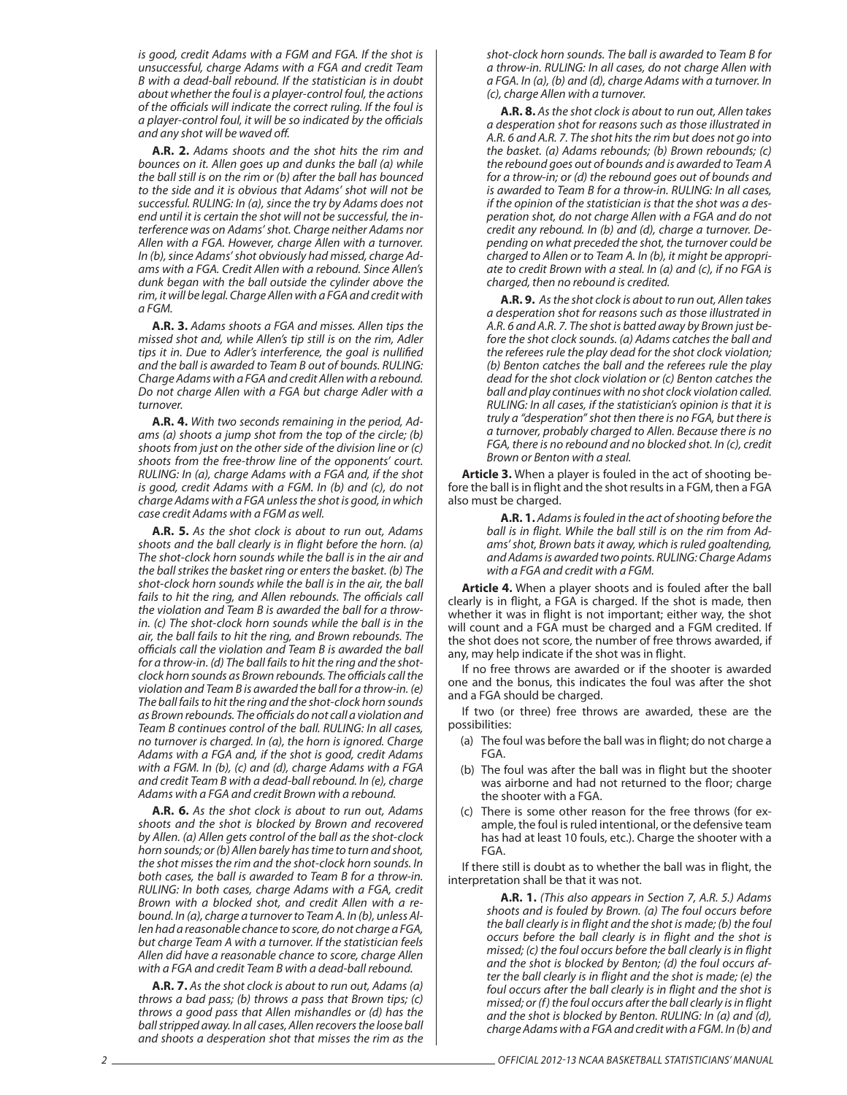is good, credit Adams with a FGM and FGA. If the shot is unsuccessful, charge Adams with a FGA and credit Team B with a dead-ball rebound. If the statistician is in doubt about whether the foul is a player-control foul, the actions of the officials will indicate the correct ruling. If the foul is a player-control foul, it will be so indicated by the officials and any shot will be waved off.

**A.R. 2.** Adams shoots and the shot hits the rim and bounces on it. Allen goes up and dunks the ball (a) while the ball still is on the rim or (b) after the ball has bounced to the side and it is obvious that Adams' shot will not be successful. RULING: In (a), since the try by Adams does not end until it is certain the shot will not be successful, the interference was on Adams' shot. Charge neither Adams nor Allen with a FGA. However, charge Allen with a turnover. In (b), since Adams' shot obviously had missed, charge Adams with a FGA. Credit Allen with a rebound. Since Allen's dunk began with the ball outside the cylinder above the rim, it will be legal. Charge Allen with a FGA and credit with a FGM.

**A.R. 3.** Adams shoots a FGA and misses. Allen tips the missed shot and, while Allen's tip still is on the rim, Adler tips it in. Due to Adler's interference, the goal is nullified and the ball is awarded to Team B out of bounds. RULING: Charge Adams with a FGA and credit Allen with a rebound. Do not charge Allen with a FGA but charge Adler with a turnover.

**A.R. 4.** With two seconds remaining in the period, Adams (a) shoots a jump shot from the top of the circle; (b) shoots from just on the other side of the division line or (c) shoots from the free-throw line of the opponents' court. RULING: In (a), charge Adams with a FGA and, if the shot is good, credit Adams with a FGM. In (b) and (c), do not charge Adams with a FGA unless the shot is good, in which case credit Adams with a FGM as well.

**A.R. 5.** As the shot clock is about to run out, Adams shoots and the ball clearly is in flight before the horn. (a) The shot-clock horn sounds while the ball is in the air and the ball strikes the basket ring or enters the basket. (b) The shot-clock horn sounds while the ball is in the air, the ball fails to hit the ring, and Allen rebounds. The officials call the violation and Team B is awarded the ball for a throwin. (c) The shot-clock horn sounds while the ball is in the air, the ball fails to hit the ring, and Brown rebounds. The officials call the violation and Team B is awarded the ball for a throw-in. (d) The ball fails to hit the ring and the shotclock horn sounds as Brown rebounds. The officials call the violation and Team B is awarded the ball for a throw-in. (e) The ball fails to hit the ring and the shot-clock horn sounds as Brown rebounds. The officials do not call a violation and Team B continues control of the ball. RULING: In all cases, no turnover is charged. In (a), the horn is ignored. Charge Adams with a FGA and, if the shot is good, credit Adams with a FGM. In (b), (c) and (d), charge Adams with a FGA and credit Team B with a dead-ball rebound. In (e), charge Adams with a FGA and credit Brown with a rebound.

**A.R. 6.** As the shot clock is about to run out, Adams shoots and the shot is blocked by Brown and recovered by Allen. (a) Allen gets control of the ball as the shot-clock horn sounds; or (b) Allen barely has time to turn and shoot, the shot misses the rim and the shot-clock horn sounds. In both cases, the ball is awarded to Team B for a throw-in. RULING: In both cases, charge Adams with a FGA, credit Brown with a blocked shot, and credit Allen with a rebound. In (a), charge a turnover to Team A. In (b), unless Allen had a reasonable chance to score, do not charge a FGA, but charge Team A with a turnover. If the statistician feels Allen did have a reasonable chance to score, charge Allen with a FGA and credit Team B with a dead-ball rebound.

**A.R. 7.** As the shot clock is about to run out, Adams (a) throws a bad pass; (b) throws a pass that Brown tips; (c) throws a good pass that Allen mishandles or (d) has the ball stripped away. In all cases, Allen recovers the loose ball and shoots a desperation shot that misses the rim as the shot-clock horn sounds. The ball is awarded to Team B for a throw-in. RULING: In all cases, do not charge Allen with a FGA. In (a), (b) and (d), charge Adams with a turnover. In (c), charge Allen with a turnover.

**A.R. 8.** As the shot clock is about to run out, Allen takes a desperation shot for reasons such as those illustrated in A.R. 6 and A.R. 7. The shot hits the rim but does not go into the basket. (a) Adams rebounds; (b) Brown rebounds; (c) the rebound goes out of bounds and is awarded to Team A for a throw-in; or (d) the rebound goes out of bounds and is awarded to Team B for a throw-in. RULING: In all cases, if the opinion of the statistician is that the shot was a desperation shot, do not charge Allen with a FGA and do not credit any rebound. In (b) and (d), charge a turnover. Depending on what preceded the shot, the turnover could be charged to Allen or to Team A. In (b), it might be appropriate to credit Brown with a steal. In (a) and (c), if no FGA is charged, then no rebound is credited.

**A.R. 9.** As the shot clock is about to run out, Allen takes a desperation shot for reasons such as those illustrated in A.R. 6 and A.R. 7. The shot is batted away by Brown just before the shot clock sounds. (a) Adams catches the ball and the referees rule the play dead for the shot clock violation; (b) Benton catches the ball and the referees rule the play dead for the shot clock violation or (c) Benton catches the ball and play continues with no shot clock violation called. RULING: In all cases, if the statistician's opinion is that it is truly a "desperation" shot then there is no FGA, but there is a turnover, probably charged to Allen. Because there is no FGA, there is no rebound and no blocked shot. In (c), credit Brown or Benton with a steal.

**Article 3.** When a player is fouled in the act of shooting before the ball is in flight and the shot results in a FGM, then a FGA also must be charged.

> **A.R. 1.** Adams is fouled in the act of shooting before the ball is in flight. While the ball still is on the rim from Adams' shot, Brown bats it away, which is ruled goaltending, and Adams is awarded two points. RULING: Charge Adams with a FGA and credit with a FGM.

**Article 4.** When a player shoots and is fouled after the ball clearly is in flight, a FGA is charged. If the shot is made, then whether it was in flight is not important; either way, the shot will count and a FGA must be charged and a FGM credited. If the shot does not score, the number of free throws awarded, if any, may help indicate if the shot was in flight.

If no free throws are awarded or if the shooter is awarded one and the bonus, this indicates the foul was after the shot and a FGA should be charged.

If two (or three) free throws are awarded, these are the possibilities:

- (a) The foul was before the ball was in flight; do not charge a FGA.
- (b) The foul was after the ball was in flight but the shooter was airborne and had not returned to the floor; charge the shooter with a FGA.
- (c) There is some other reason for the free throws (for example, the foul is ruled intentional, or the defensive team has had at least 10 fouls, etc.). Charge the shooter with a FGA.

If there still is doubt as to whether the ball was in flight, the interpretation shall be that it was not.

> **A.R. 1.** (This also appears in Section 7, A.R. 5.) Adams shoots and is fouled by Brown. (a) The foul occurs before the ball clearly is in flight and the shot is made; (b) the foul occurs before the ball clearly is in flight and the shot is missed; (c) the foul occurs before the ball clearly is in flight and the shot is blocked by Benton; (d) the foul occurs after the ball clearly is in flight and the shot is made; (e) the foul occurs after the ball clearly is in flight and the shot is missed; or (f) the foul occurs after the ball clearly is in flight and the shot is blocked by Benton. RULING: In (a) and  $\overline{d}$ , charge Adams with a FGA and credit with a FGM. In (b) and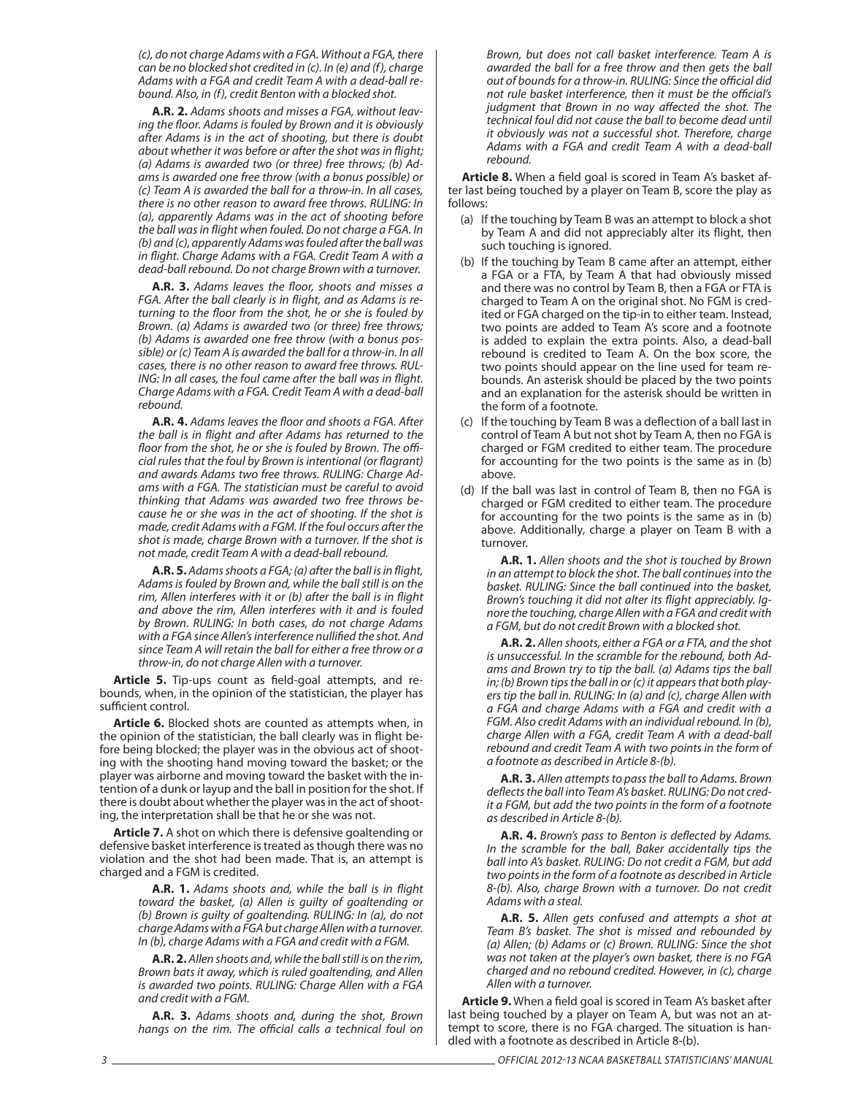(c), do not charge Adams with a FGA. Without a FGA, there can be no blocked shot credited in (c). In (e) and (f), charge Adams with a FGA and credit Team A with a dead-ball rebound. Also, in (f), credit Benton with a blocked shot.

**A.R. 2.** Adams shoots and misses a FGA, without leaving the floor. Adams is fouled by Brown and it is obviously after Adams is in the act of shooting, but there is doubt about whether it was before or after the shot was in flight; (a) Adams is awarded two (or three) free throws; (b) Adams is awarded one free throw (with a bonus possible) or (c) Team A is awarded the ball for a throw-in. In all cases, there is no other reason to award free throws. RULING: In (a), apparently Adams was in the act of shooting before the ball was in flight when fouled. Do not charge a FGA. In (b) and (c), apparently Adams was fouled after the ball was in flight. Charge Adams with a FGA. Credit Team A with a dead-ball rebound. Do not charge Brown with a turnover.

A.R. 3. Adams leaves the floor, shoots and misses a FGA. After the ball clearly is in flight, and as Adams is returning to the floor from the shot, he or she is fouled by Brown. (a) Adams is awarded two (or three) free throws; (b) Adams is awarded one free throw (with a bonus possible) or (c) Team A is awarded the ball for a throw-in. In all cases, there is no other reason to award free throws. RUL-ING: In all cases, the foul came after the ball was in flight. Charge Adams with a FGA. Credit Team A with a dead-ball rebound.

A.R. 4. Adams leaves the floor and shoots a FGA. After the ball is in flight and after Adams has returned to the floor from the shot, he or she is fouled by Brown. The official rules that the foul by Brown is intentional (or flagrant) and awards Adams two free throws. RULING: Charge Adams with a FGA. The statistician must be careful to avoid thinking that Adams was awarded two free throws because he or she was in the act of shooting. If the shot is made, credit Adams with a FGM. If the foul occurs after the shot is made, charge Brown with a turnover. If the shot is not made, credit Team A with a dead-ball rebound.

**A.R. 5.** Adams shoots a FGA; (a) after the ball is in flight, Adams is fouled by Brown and, while the ball still is on the rim, Allen interferes with it or (b) after the ball is in flight and above the rim, Allen interferes with it and is fouled by Brown. RULING: In both cases, do not charge Adams with a FGA since Allen's interference nullified the shot. And since Team A will retain the ball for either a free throw or a throw-in, do not charge Allen with a turnover.

Article 5. Tip-ups count as field-goal attempts, and rebounds, when, in the opinion of the statistician, the player has sufficient control.

**Article 6.** Blocked shots are counted as attempts when, in the opinion of the statistician, the ball clearly was in flight before being blocked; the player was in the obvious act of shooting with the shooting hand moving toward the basket; or the player was airborne and moving toward the basket with the intention of a dunk or layup and the ball in position for the shot. If there is doubt about whether the player was in the act of shooting, the interpretation shall be that he or she was not.

**Article 7.** A shot on which there is defensive goaltending or defensive basket interference is treated as though there was no violation and the shot had been made. That is, an attempt is charged and a FGM is credited.

> A.R. 1. Adams shoots and, while the ball is in flight toward the basket, (a) Allen is guilty of goaltending or (b) Brown is guilty of goaltending. RULING: In (a), do not charge Adams with a FGA but charge Allen with a turnover. In (b), charge Adams with a FGA and credit with a FGM.

> **A.R. 2.** Allen shoots and, while the ball still is on the rim, Brown bats it away, which is ruled goaltending, and Allen is awarded two points. RULING: Charge Allen with a FGA and credit with a FGM.

> **A.R. 3.** Adams shoots and, during the shot, Brown hangs on the rim. The official calls a technical foul on

Brown, but does not call basket interference. Team A is awarded the ball for a free throw and then gets the ball out of bounds for a throw-in. RULING: Since the official did not rule basket interference, then it must be the official's judgment that Brown in no way affected the shot. The technical foul did not cause the ball to become dead until it obviously was not a successful shot. Therefore, charge Adams with a FGA and credit Team A with a dead-ball rebound.

Article 8. When a field goal is scored in Team A's basket after last being touched by a player on Team B, score the play as follows:

- (a) If the touching by Team B was an attempt to block a shot by Team A and did not appreciably alter its flight, then such touching is ignored.
- (b) If the touching by Team B came after an attempt, either a FGA or a FTA, by Team A that had obviously missed and there was no control by Team B, then a FGA or FTA is charged to Team A on the original shot. No FGM is credited or FGA charged on the tip-in to either team. Instead, two points are added to Team A's score and a footnote is added to explain the extra points. Also, a dead-ball rebound is credited to Team A. On the box score, the two points should appear on the line used for team rebounds. An asterisk should be placed by the two points and an explanation for the asterisk should be written in the form of a footnote.
- (c) If the touching by Team B was a deflection of a ball last in control of Team A but not shot by Team A, then no FGA is charged or FGM credited to either team. The procedure for accounting for the two points is the same as in (b) above.
- (d) If the ball was last in control of Team B, then no FGA is charged or FGM credited to either team. The procedure for accounting for the two points is the same as in (b) above. Additionally, charge a player on Team B with a turnover.

**A.R. 1.** Allen shoots and the shot is touched by Brown in an attempt to block the shot. The ball continues into the basket. RULING: Since the ball continued into the basket, Brown's touching it did not alter its flight appreciably. Ignore the touching, charge Allen with a FGA and credit with a FGM, but do not credit Brown with a blocked shot.

**A.R. 2.** Allen shoots, either a FGA or a FTA, and the shot is unsuccessful. In the scramble for the rebound, both Adams and Brown try to tip the ball. (a) Adams tips the ball in; (b) Brown tips the ball in or (c) it appears that both players tip the ball in. RULING: In (a) and (c), charge Allen with a FGA and charge Adams with a FGA and credit with a FGM. Also credit Adams with an individual rebound. In (b), charge Allen with a FGA, credit Team A with a dead-ball rebound and credit Team A with two points in the form of a footnote as described in Article 8-(b).

**A.R. 3.** Allen attempts to pass the ball to Adams. Brown deflects the ball into Team A's basket. RULING: Do not credit a FGM, but add the two points in the form of a footnote as described in Article 8-(b).

A.R. 4. Brown's pass to Benton is deflected by Adams. In the scramble for the ball, Baker accidentally tips the ball into A's basket. RULING: Do not credit a FGM, but add two points in the form of a footnote as described in Article 8-(b). Also, charge Brown with a turnover. Do not credit Adams with a steal.

**A.R. 5.** Allen gets confused and attempts a shot at Team B's basket. The shot is missed and rebounded by (a) Allen; (b) Adams or (c) Brown. RULING: Since the shot was not taken at the player's own basket, there is no FGA charged and no rebound credited. However, in (c), charge Allen with a turnover.

Article 9. When a field goal is scored in Team A's basket after last being touched by a player on Team A, but was not an attempt to score, there is no FGA charged. The situation is handled with a footnote as described in Article 8-(b).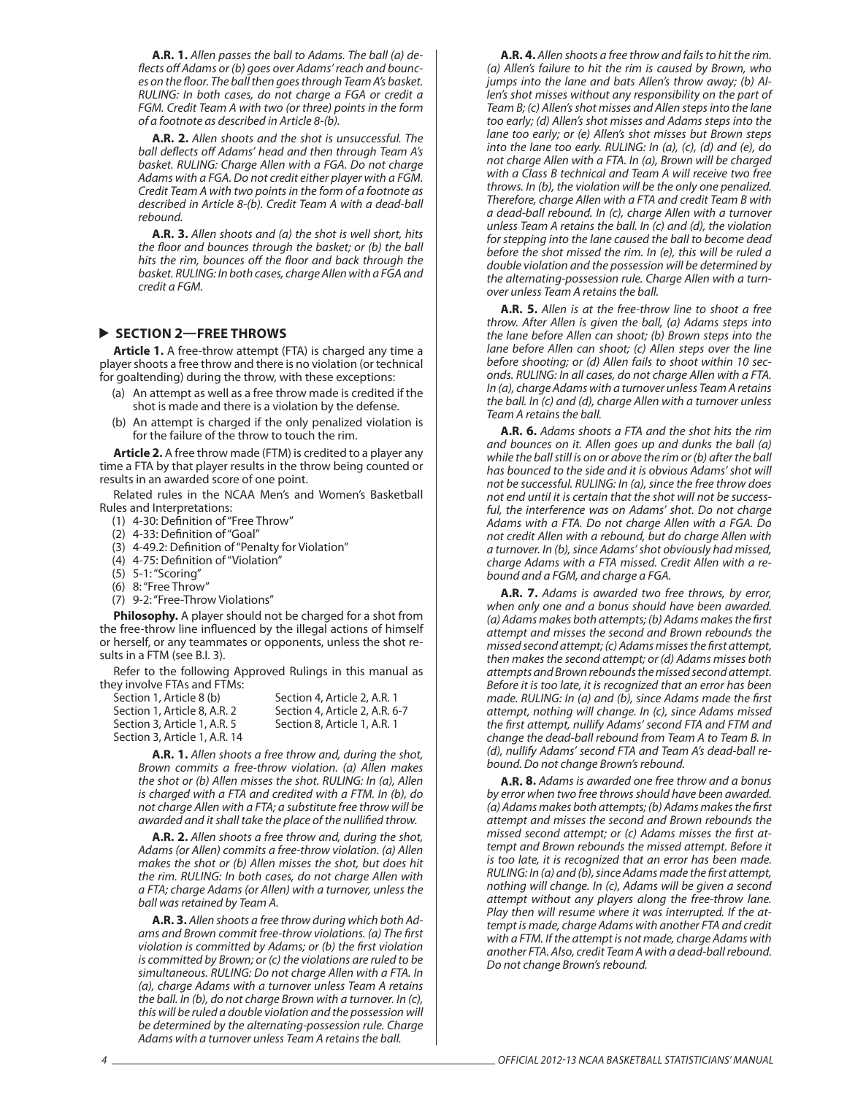**A.R. 1.** Allen passes the ball to Adams. The ball (a) deflects off Adams or (b) goes over Adams' reach and bounces on the floor. The ball then goes through Team A's basket. RULING: In both cases, do not charge a FGA or credit a FGM. Credit Team A with two (or three) points in the form of a footnote as described in Article 8-(b).

**A.R. 2.** Allen shoots and the shot is unsuccessful. The ball deflects off Adams' head and then through Team A's basket. RULING: Charge Allen with a FGA. Do not charge Adams with a FGA. Do not credit either player with a FGM. Credit Team A with two points in the form of a footnote as described in Article 8-(b). Credit Team A with a dead-ball rebound.

**A.R. 3.** Allen shoots and (a) the shot is well short, hits the floor and bounces through the basket; or (b) the ball hits the rim, bounces off the floor and back through the basket. RULING: In both cases, charge Allen with a FGA and credit a FGM.

### **SECTION 2—FREE THROWS**

**Article 1.** A free-throw attempt (FTA) is charged any time a player shoots a free throw and there is no violation (or technical for goaltending) during the throw, with these exceptions:

- (a) An attempt as well as a free throw made is credited if the shot is made and there is a violation by the defense.
- (b) An attempt is charged if the only penalized violation is for the failure of the throw to touch the rim.

**Article 2.** A free throw made (FTM) is credited to a player any time a FTA by that player results in the throw being counted or results in an awarded score of one point.

Related rules in the NCAA Men's and Women's Basketball Rules and Interpretations:

- (1) 4-30: Definition of "Free Throw"
- (2) 4-33: Definition of "Goal"
- (3) 4-49.2: Definition of "Penalty for Violation"
- (4) 4-75: Definition of "Violation"
- (5) 5-1: "Scoring"
- (6) 8: "Free Throw"
- (7) 9-2: "Free-Throw Violations"

**Philosophy.** A player should not be charged for a shot from the free-throw line influenced by the illegal actions of himself or herself, or any teammates or opponents, unless the shot results in a FTM (see B.I. 3).

Refer to the following Approved Rulings in this manual as they involve FTAs and FTMs:

| Section 1, Article 8 (b)      | Section 4, Article 2, A.R. 1   |
|-------------------------------|--------------------------------|
| Section 1. Article 8. A.R. 2  | Section 4, Article 2, A.R. 6-7 |
| Section 3. Article 1. A.R. 5  | Section 8. Article 1. A.R. 1   |
| Section 3. Article 1. A.R. 14 |                                |

**A.R. 1.** Allen shoots a free throw and, during the shot, Brown commits a free-throw violation. (a) Allen makes the shot or (b) Allen misses the shot. RULING: In (a), Allen is charged with a FTA and credited with a FTM. In (b), do not charge Allen with a FTA; a substitute free throw will be awarded and it shall take the place of the nullified throw.

**A.R. 2.** Allen shoots a free throw and, during the shot, Adams (or Allen) commits a free-throw violation. (a) Allen makes the shot or (b) Allen misses the shot, but does hit the rim. RULING: In both cases, do not charge Allen with a FTA; charge Adams (or Allen) with a turnover, unless the ball was retained by Team A.

**A.R. 3.** Allen shoots a free throw during which both Adams and Brown commit free-throw violations. (a) The first violation is committed by Adams; or (b) the first violation is committed by Brown; or (c) the violations are ruled to be simultaneous. RULING: Do not charge Allen with a FTA. In (a), charge Adams with a turnover unless Team A retains the ball. In (b), do not charge Brown with a turnover. In (c), this will be ruled a double violation and the possession will be determined by the alternating-possession rule. Charge Adams with a turnover unless Team A retains the ball.

**A.R. 4.** Allen shoots a free throw and fails to hit the rim. (a) Allen's failure to hit the rim is caused by Brown, who jumps into the lane and bats Allen's throw away; (b) Allen's shot misses without any responsibility on the part of Team B; (c) Allen's shot misses and Allen steps into the lane too early; (d) Allen's shot misses and Adams steps into the lane too early; or (e) Allen's shot misses but Brown steps into the lane too early. RULING: In (a), (c), (d) and (e), do not charge Allen with a FTA. In (a), Brown will be charged with a Class B technical and Team A will receive two free throws. In (b), the violation will be the only one penalized. Therefore, charge Allen with a FTA and credit Team B with a dead-ball rebound. In (c), charge Allen with a turnover unless Team A retains the ball. In (c) and (d), the violation for stepping into the lane caused the ball to become dead before the shot missed the rim. In (e), this will be ruled a double violation and the possession will be determined by the alternating-possession rule. Charge Allen with a turnover unless Team A retains the ball.

**A.R. 5.** Allen is at the free-throw line to shoot a free throw. After Allen is given the ball, (a) Adams steps into the lane before Allen can shoot; (b) Brown steps into the lane before Allen can shoot; (c) Allen steps over the line before shooting; or (d) Allen fails to shoot within 10 seconds. RULING: In all cases, do not charge Allen with a FTA. In (a), charge Adams with a turnover unless Team A retains the ball. In (c) and (d), charge Allen with a turnover unless Team A retains the ball.

**A.R. 6.** Adams shoots a FTA and the shot hits the rim and bounces on it. Allen goes up and dunks the ball (a) while the ball still is on or above the rim or (b) after the ball has bounced to the side and it is obvious Adams' shot will not be successful. RULING: In (a), since the free throw does not end until it is certain that the shot will not be successful, the interference was on Adams' shot. Do not charge Adams with a FTA. Do not charge Allen with a FGA. Do not credit Allen with a rebound, but do charge Allen with a turnover. In (b), since Adams' shot obviously had missed, charge Adams with a FTA missed. Credit Allen with a rebound and a FGM, and charge a FGA.

**A.R. 7.** Adams is awarded two free throws, by error, when only one and a bonus should have been awarded. (a) Adams makes both attempts; (b) Adams makes the first attempt and misses the second and Brown rebounds the missed second attempt; (c) Adams misses the first attempt, then makes the second attempt; or (d) Adams misses both attempts and Brown rebounds the missed second attempt. Before it is too late, it is recognized that an error has been made. RULING: In (a) and (b), since Adams made the first attempt, nothing will change. In (c), since Adams missed the first attempt, nullify Adams' second FTA and FTM and change the dead-ball rebound from Team A to Team B. In (d), nullify Adams' second FTA and Team A's dead-ball rebound. Do not change Brown's rebound.

**A.R. 8.** Adams is awarded one free throw and a bonus by error when two free throws should have been awarded. (a) Adams makes both attempts; (b) Adams makes the first attempt and misses the second and Brown rebounds the missed second attempt; or (c) Adams misses the first attempt and Brown rebounds the missed attempt. Before it is too late, it is recognized that an error has been made.  $RULING:$  In (a) and (b), since Adams made the first attempt, nothing will change. In (c), Adams will be given a second attempt without any players along the free-throw lane. Play then will resume where it was interrupted. If the attempt is made, charge Adams with another FTA and credit with a FTM. If the attempt is not made, charge Adams with another FTA. Also, credit Team A with a dead-ball rebound. Do not change Brown's rebound.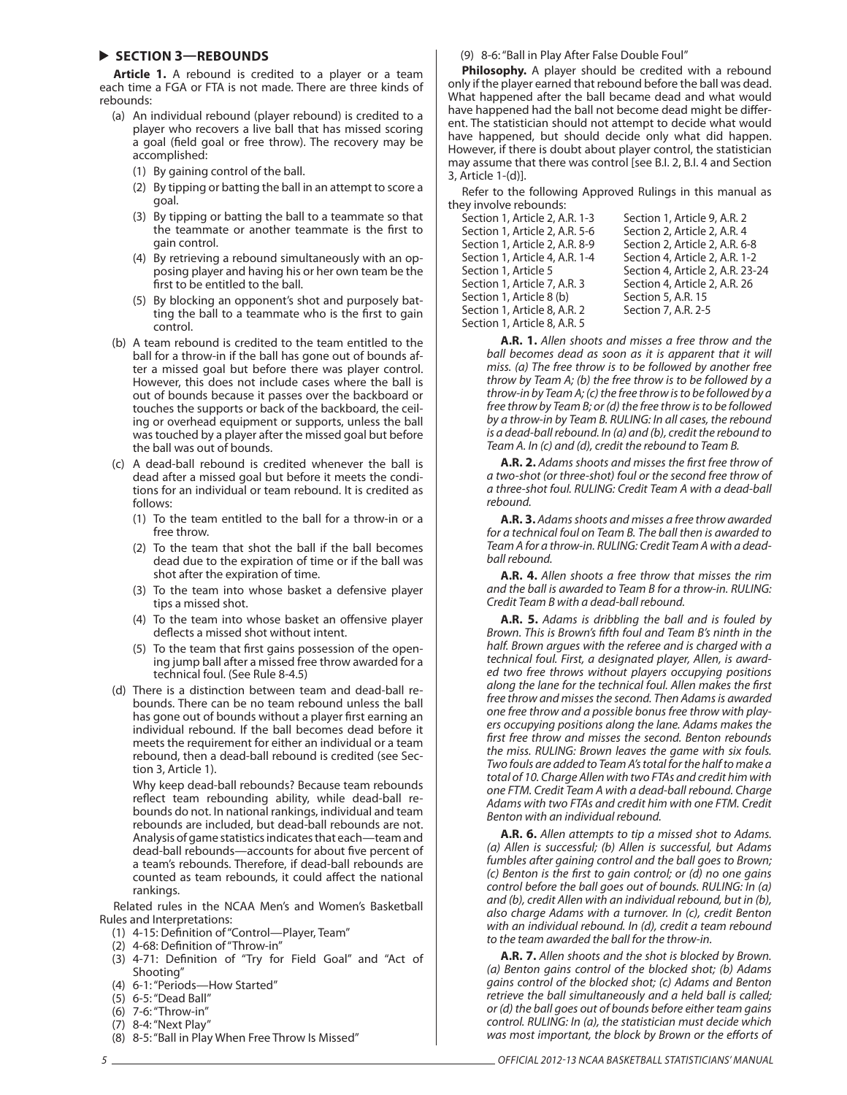### **SECTION 3—REBOUNDS**

**Article 1.** A rebound is credited to a player or a team each time a FGA or FTA is not made. There are three kinds of rebounds:

- (a) An individual rebound (player rebound) is credited to a player who recovers a live ball that has missed scoring a goal (field goal or free throw). The recovery may be accomplished:
	- (1) By gaining control of the ball.
	- (2) By tipping or batting the ball in an attempt to score a goal.
	- (3) By tipping or batting the ball to a teammate so that the teammate or another teammate is the first to gain control.
	- (4) By retrieving a rebound simultaneously with an opposing player and having his or her own team be the first to be entitled to the ball.
	- (5) By blocking an opponent's shot and purposely batting the ball to a teammate who is the first to gain control.
- (b) A team rebound is credited to the team entitled to the ball for a throw-in if the ball has gone out of bounds after a missed goal but before there was player control. However, this does not include cases where the ball is out of bounds because it passes over the backboard or touches the supports or back of the backboard, the ceiling or overhead equipment or supports, unless the ball was touched by a player after the missed goal but before the ball was out of bounds.
- (c) A dead-ball rebound is credited whenever the ball is dead after a missed goal but before it meets the conditions for an individual or team rebound. It is credited as follows:
	- (1) To the team entitled to the ball for a throw-in or a free throw.
	- (2) To the team that shot the ball if the ball becomes dead due to the expiration of time or if the ball was shot after the expiration of time.
	- (3) To the team into whose basket a defensive player tips a missed shot.
	- (4) To the team into whose basket an offensive player deflects a missed shot without intent.
	- (5) To the team that first gains possession of the opening jump ball after a missed free throw awarded for a technical foul. (See Rule 8-4.5)
- (d) There is a distinction between team and dead-ball rebounds. There can be no team rebound unless the ball has gone out of bounds without a player first earning an individual rebound. If the ball becomes dead before it meets the requirement for either an individual or a team rebound, then a dead-ball rebound is credited (see Section 3, Article 1).

Why keep dead-ball rebounds? Because team rebounds reflect team rebounding ability, while dead-ball rebounds do not. In national rankings, individual and team rebounds are included, but dead-ball rebounds are not. Analysis of game statistics indicates that each—team and dead-ball rebounds—accounts for about five percent of a team's rebounds. Therefore, if dead-ball rebounds are counted as team rebounds, it could affect the national rankings.

Related rules in the NCAA Men's and Women's Basketball Rules and Interpretations:

- (1) 4-15: Definition of "Control-Player, Team"
- (2) 4-68: Definition of "Throw-in"
- (3) 4-71: Definition of "Try for Field Goal" and "Act of Shooting"
- (4) 6-1: "Periods—How Started"
- (5) 6-5: "Dead Ball" (6) 7-6: "Throw-in"
- (7) 8-4: "Next Play"
- 
- (8) 8-5: "Ball in Play When Free Throw Is Missed"

(9) 8-6: "Ball in Play After False Double Foul"

**Philosophy.** A player should be credited with a rebound only if the player earned that rebound before the ball was dead. What happened after the ball became dead and what would have happened had the ball not become dead might be different. The statistician should not attempt to decide what would have happened, but should decide only what did happen. However, if there is doubt about player control, the statistician may assume that there was control [see B.I. 2, B.I. 4 and Section 3, Article 1-(d)].

Refer to the following Approved Rulings in this manual as they involve rebounds:

Section 1, Article 2, A.R. 1-3 Section 1, Article 9, A.R. 2 Section 1, Article 2, A.R. 5-6 Section 2, Article 2, A.R. 4 Section 1, Article 2, A.R. 8-9 Section 2, Article 2, A.R. 6-8 Section 1, Article 4, A.R. 1-4 Section 4, Article 2, A.R. 1-2 Section 1, Article 7, A.R. 3 Section 4, Article 2, A.R. 26 Section 1, Article 8 (b) Section 5, A.R. 15 Section 1, Article 8, A.R. 2 Section 7, A.R. 2-5 Section 1, Article 8, A.R. 5

Section 1, Article 5 Section 4, Article 2, A.R. 23-24

**A.R. 1.** Allen shoots and misses a free throw and the ball becomes dead as soon as it is apparent that it will miss. (a) The free throw is to be followed by another free throw by Team A; (b) the free throw is to be followed by a throw-in by Team A; (c) the free throw is to be followed by a free throw by Team B; or (d) the free throw is to be followed by a throw-in by Team B. RULING: In all cases, the rebound is a dead-ball rebound. In (a) and (b), credit the rebound to Team A. In (c) and (d), credit the rebound to Team B.

A.R. 2. Adams shoots and misses the first free throw of a two-shot (or three-shot) foul or the second free throw of a three-shot foul. RULING: Credit Team A with a dead-ball rebound.

**A.R. 3.** Adams shoots and misses a free throw awarded for a technical foul on Team B. The ball then is awarded to Team A for a throw-in. RULING: Credit Team A with a deadball rebound.

**A.R. 4.** Allen shoots a free throw that misses the rim and the ball is awarded to Team B for a throw-in. RULING: Credit Team B with a dead-ball rebound.

**A.R. 5.** Adams is dribbling the ball and is fouled by Brown. This is Brown's fifth foul and Team B's ninth in the half. Brown argues with the referee and is charged with a technical foul. First, a designated player, Allen, is awarded two free throws without players occupying positions along the lane for the technical foul. Allen makes the first free throw and misses the second. Then Adams is awarded one free throw and a possible bonus free throw with players occupying positions along the lane. Adams makes the first free throw and misses the second. Benton rebounds the miss. RULING: Brown leaves the game with six fouls. Two fouls are added to Team A's total for the half to make a total of 10. Charge Allen with two FTAs and credit him with one FTM. Credit Team A with a dead-ball rebound. Charge Adams with two FTAs and credit him with one FTM. Credit Benton with an individual rebound.

**A.R. 6.** Allen attempts to tip a missed shot to Adams. (a) Allen is successful; (b) Allen is successful, but Adams fumbles after gaining control and the ball goes to Brown; (c) Benton is the first to gain control; or  $(d)$  no one gains control before the ball goes out of bounds. RULING: In (a) and (b), credit Allen with an individual rebound, but in (b), also charge Adams with a turnover. In (c), credit Benton with an individual rebound. In (d), credit a team rebound to the team awarded the ball for the throw-in.

**A.R. 7.** Allen shoots and the shot is blocked by Brown. (a) Benton gains control of the blocked shot; (b) Adams gains control of the blocked shot; (c) Adams and Benton retrieve the ball simultaneously and a held ball is called; or (d) the ball goes out of bounds before either team gains control. RULING: In (a), the statistician must decide which was most important, the block by Brown or the efforts of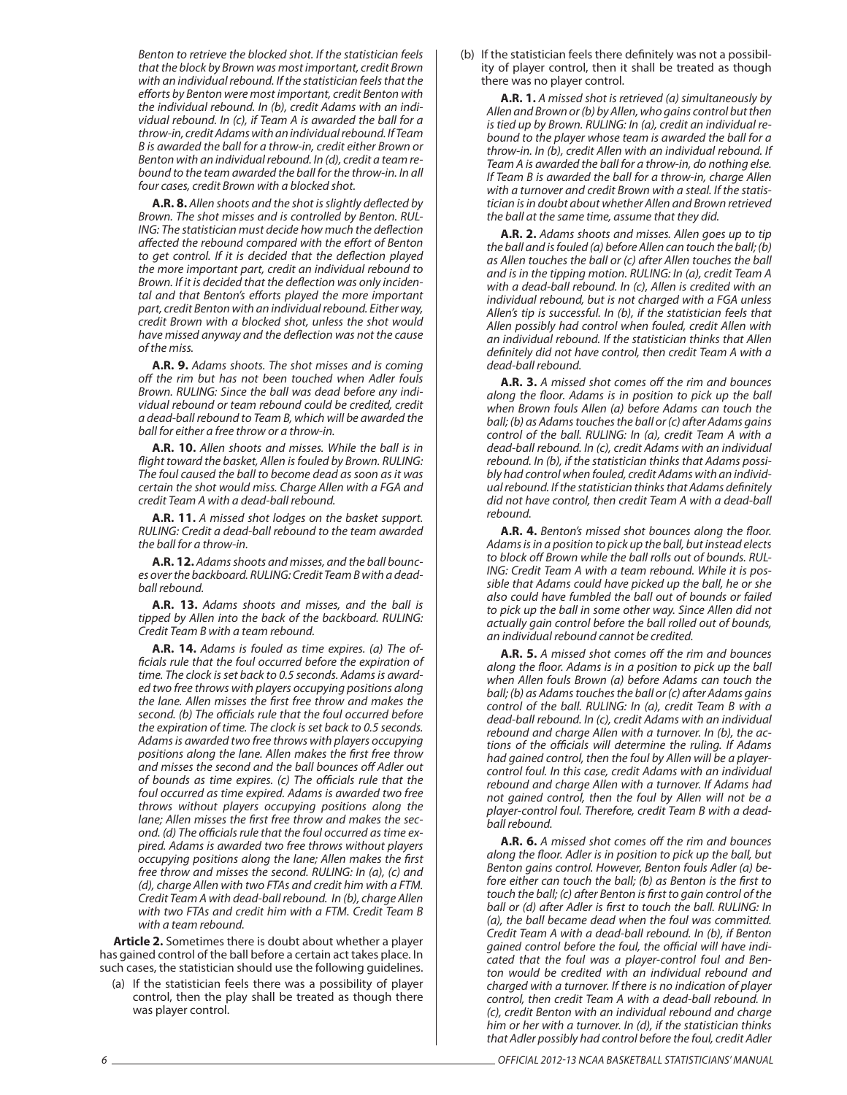Benton to retrieve the blocked shot. If the statistician feels that the block by Brown was most important, credit Brown with an individual rebound. If the statistician feels that the efforts by Benton were most important, credit Benton with the individual rebound. In (b), credit Adams with an individual rebound. In (c), if Team A is awarded the ball for a throw-in, credit Adams with an individual rebound. If Team B is awarded the ball for a throw-in, credit either Brown or Benton with an individual rebound. In (d), credit a team rebound to the team awarded the ball for the throw-in. In all four cases, credit Brown with a blocked shot.

**A.R. 8.** Allen shoots and the shot is slightly deflected by Brown. The shot misses and is controlled by Benton. RUL-ING: The statistician must decide how much the deflection affected the rebound compared with the effort of Benton to get control. If it is decided that the deflection played the more important part, credit an individual rebound to Brown. If it is decided that the deflection was only incidental and that Benton's efforts played the more important part, credit Benton with an individual rebound. Either way, credit Brown with a blocked shot, unless the shot would have missed anyway and the deflection was not the cause of the miss.

**A.R. 9.** Adams shoots. The shot misses and is coming off the rim but has not been touched when Adler fouls Brown. RULING: Since the ball was dead before any individual rebound or team rebound could be credited, credit a dead-ball rebound to Team B, which will be awarded the ball for either a free throw or a throw-in.

**A.R. 10.** Allen shoots and misses. While the ball is in flight toward the basket, Allen is fouled by Brown. RULING: The foul caused the ball to become dead as soon as it was certain the shot would miss. Charge Allen with a FGA and credit Team A with a dead-ball rebound.

**A.R. 11.** A missed shot lodges on the basket support. RULING: Credit a dead-ball rebound to the team awarded the ball for a throw-in.

**A.R. 12.** Adams shoots and misses, and the ball bounces over the backboard. RULING: Credit Team B with a deadball rebound.

**A.R. 13.** Adams shoots and misses, and the ball is tipped by Allen into the back of the backboard. RULING: Credit Team B with a team rebound.

**A.R. 14.** Adams is fouled as time expires. (a) The officials rule that the foul occurred before the expiration of time. The clock is set back to 0.5 seconds. Adams is awarded two free throws with players occupying positions along the lane. Allen misses the first free throw and makes the second. (b) The officials rule that the foul occurred before the expiration of time. The clock is set back to 0.5 seconds. Adams is awarded two free throws with players occupying positions along the lane. Allen makes the first free throw and misses the second and the ball bounces off Adler out of bounds as time expires. (c) The officials rule that the foul occurred as time expired. Adams is awarded two free throws without players occupying positions along the lane; Allen misses the first free throw and makes the second. (d) The officials rule that the foul occurred as time expired. Adams is awarded two free throws without players occupying positions along the lane; Allen makes the first free throw and misses the second. RULING: In (a), (c) and (d), charge Allen with two FTAs and credit him with a FTM. Credit Team A with dead-ball rebound. In (b), charge Allen with two FTAs and credit him with a FTM. Credit Team B with a team rebound.

**Article 2.** Sometimes there is doubt about whether a player has gained control of the ball before a certain act takes place. In such cases, the statistician should use the following guidelines.

(a) If the statistician feels there was a possibility of player control, then the play shall be treated as though there was player control.

(b) If the statistician feels there definitely was not a possibility of player control, then it shall be treated as though there was no player control.

**A.R. 1.** A missed shot is retrieved (a) simultaneously by Allen and Brown or (b) by Allen, who gains control but then is tied up by Brown. RULING: In (a), credit an individual rebound to the player whose team is awarded the ball for a throw-in. In (b), credit Allen with an individual rebound. If Team A is awarded the ball for a throw-in, do nothing else. If Team B is awarded the ball for a throw-in, charge Allen with a turnover and credit Brown with a steal. If the statistician is in doubt about whether Allen and Brown retrieved the ball at the same time, assume that they did.

**A.R. 2.** Adams shoots and misses. Allen goes up to tip the ball and is fouled (a) before Allen can touch the ball; (b) as Allen touches the ball or (c) after Allen touches the ball and is in the tipping motion. RULING: In (a), credit Team A with a dead-ball rebound. In (c), Allen is credited with an individual rebound, but is not charged with a FGA unless Allen's tip is successful. In (b), if the statistician feels that Allen possibly had control when fouled, credit Allen with an individual rebound. If the statistician thinks that Allen definitely did not have control, then credit Team A with a dead-ball rebound.

**A.R. 3.** A missed shot comes off the rim and bounces along the floor. Adams is in position to pick up the ball when Brown fouls Allen (a) before Adams can touch the ball; (b) as Adams touches the ball or (c) after Adams gains control of the ball. RULING: In (a), credit Team A with a dead-ball rebound. In (c), credit Adams with an individual rebound. In (b), if the statistician thinks that Adams possibly had control when fouled, credit Adams with an individual rebound. If the statistician thinks that Adams definitely did not have control, then credit Team A with a dead-ball rebound.

A.R. 4. Benton's missed shot bounces along the floor. Adams is in a position to pick up the ball, but instead elects to block off Brown while the ball rolls out of bounds. RUL-ING: Credit Team A with a team rebound. While it is possible that Adams could have picked up the ball, he or she also could have fumbled the ball out of bounds or failed to pick up the ball in some other way. Since Allen did not actually gain control before the ball rolled out of bounds, an individual rebound cannot be credited.

**A.R. 5.** A missed shot comes off the rim and bounces along the floor. Adams is in a position to pick up the ball when Allen fouls Brown (a) before Adams can touch the ball; (b) as Adams touches the ball or (c) after Adams gains control of the ball. RULING: In (a), credit Team B with a dead-ball rebound. In (c), credit Adams with an individual rebound and charge Allen with a turnover. In (b), the actions of the officials will determine the ruling. If Adams had gained control, then the foul by Allen will be a playercontrol foul. In this case, credit Adams with an individual rebound and charge Allen with a turnover. If Adams had not gained control, then the foul by Allen will not be a player-control foul. Therefore, credit Team B with a deadball rebound.

**A.R. 6.** A missed shot comes off the rim and bounces along the floor. Adler is in position to pick up the ball, but Benton gains control. However, Benton fouls Adler (a) before either can touch the ball; (b) as Benton is the first to touch the ball; (c) after Benton is first to gain control of the ball or (d) after Adler is first to touch the ball. RULING: In (a), the ball became dead when the foul was committed. Credit Team A with a dead-ball rebound. In (b), if Benton gained control before the foul, the official will have indicated that the foul was a player-control foul and Benton would be credited with an individual rebound and charged with a turnover. If there is no indication of player control, then credit Team A with a dead-ball rebound. In (c), credit Benton with an individual rebound and charge him or her with a turnover. In (d), if the statistician thinks that Adler possibly had control before the foul, credit Adler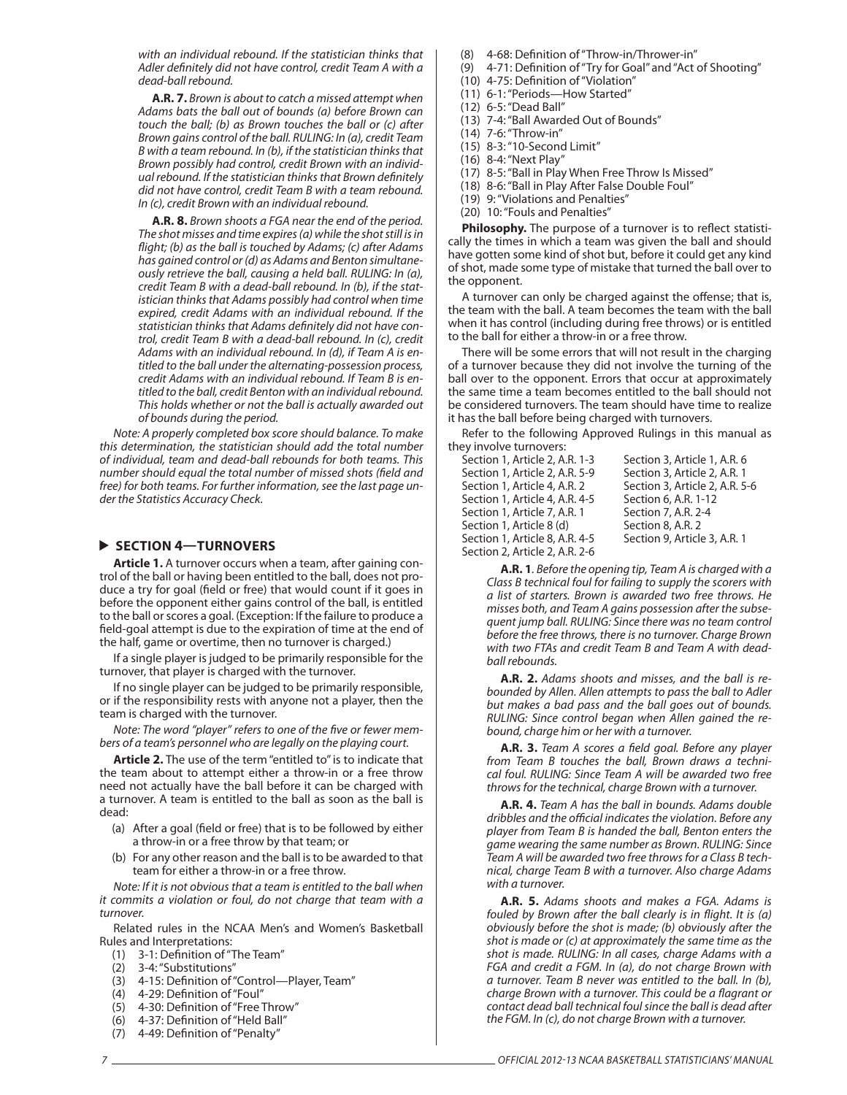with an individual rebound. If the statistician thinks that Adler definitely did not have control, credit Team A with a dead-ball rebound.

**A.R. 7.** Brown is about to catch a missed attempt when Adams bats the ball out of bounds (a) before Brown can touch the ball; (b) as Brown touches the ball or (c) after Brown gains control of the ball. RULING: In (a), credit Team B with a team rebound. In (b), if the statistician thinks that Brown possibly had control, credit Brown with an individual rebound. If the statistician thinks that Brown definitely did not have control, credit Team B with a team rebound. In (c), credit Brown with an individual rebound.

**A.R. 8.** Brown shoots a FGA near the end of the period. The shot misses and time expires (a) while the shot still is in flight; (b) as the ball is touched by Adams; (c) after Adams has gained control or (d) as Adams and Benton simultaneously retrieve the ball, causing a held ball. RULING: In (a), credit Team B with a dead-ball rebound. In (b), if the statistician thinks that Adams possibly had control when time expired, credit Adams with an individual rebound. If the statistician thinks that Adams definitely did not have control, credit Team B with a dead-ball rebound. In (c), credit Adams with an individual rebound. In (d), if Team A is entitled to the ball under the alternating-possession process, credit Adams with an individual rebound. If Team B is entitled to the ball, credit Benton with an individual rebound. This holds whether or not the ball is actually awarded out of bounds during the period.

Note: A properly completed box score should balance. To make this determination, the statistician should add the total number of individual, team and dead-ball rebounds for both teams. This number should equal the total number of missed shots (field and free) for both teams. For further information, see the last page under the Statistics Accuracy Check.

### **SECTION 4—TURNOVERS**

**Article 1.** A turnover occurs when a team, after gaining control of the ball or having been entitled to the ball, does not produce a try for goal (field or free) that would count if it goes in before the opponent either gains control of the ball, is entitled to the ball or scores a goal. (Exception: If the failure to produce a field-goal attempt is due to the expiration of time at the end of the half, game or overtime, then no turnover is charged.)

If a single player is judged to be primarily responsible for the turnover, that player is charged with the turnover.

If no single player can be judged to be primarily responsible, or if the responsibility rests with anyone not a player, then the team is charged with the turnover.

Note: The word "player" refers to one of the five or fewer members of a team's personnel who are legally on the playing court.

**Article 2.** The use of the term "entitled to" is to indicate that the team about to attempt either a throw-in or a free throw need not actually have the ball before it can be charged with a turnover. A team is entitled to the ball as soon as the ball is dead:

- (a) After a goal (field or free) that is to be followed by either a throw-in or a free throw by that team; or
- (b) For any other reason and the ball is to be awarded to that team for either a throw-in or a free throw.

Note: If it is not obvious that a team is entitled to the ball when it commits a violation or foul, do not charge that team with a turnover.

Related rules in the NCAA Men's and Women's Basketball Rules and Interpretations:

- (1) 3-1: Definition of "The Team"
- (2) 3-4: "Substitutions"
- (3) 4-15: Definition of "Control--Player, Team"
- (4) 4-29: Definition of "Foul"
- (5) 4-30: Definition of "Free Throw"
- (6) 4-37: Definition of "Held Ball"
- (7) 4-49: Definition of "Penalty"

(8) 4-68: Definition of "Throw-in/Thrower-in"

- (9) 4-71: Definition of "Try for Goal" and "Act of Shooting"
- (10) 4-75: Definition of "Violation"
- (11) 6-1: "Periods—How Started"
- (12) 6-5: "Dead Ball"
- (13) 7-4: "Ball Awarded Out of Bounds"
- (14) 7-6: "Throw-in"
- (15) 8-3: "10-Second Limit"
- (16) 8-4: "Next Play"
- (17) 8-5: "Ball in Play When Free Throw Is Missed"
- (18) 8-6: "Ball in Play After False Double Foul"
- (19) 9: "Violations and Penalties" (20) 10: "Fouls and Penalties"

Philosophy. The purpose of a turnover is to reflect statistically the times in which a team was given the ball and should have gotten some kind of shot but, before it could get any kind of shot, made some type of mistake that turned the ball over to the opponent.

A turnover can only be charged against the offense; that is, the team with the ball. A team becomes the team with the ball when it has control (including during free throws) or is entitled to the ball for either a throw-in or a free throw.

There will be some errors that will not result in the charging of a turnover because they did not involve the turning of the ball over to the opponent. Errors that occur at approximately the same time a team becomes entitled to the ball should not be considered turnovers. The team should have time to realize it has the ball before being charged with turnovers.

Refer to the following Approved Rulings in this manual as they involve turnovers:

| Section 1, Article 2, A.R. 1-3 | Section 3, Article 1, A.R. 6   |
|--------------------------------|--------------------------------|
| Section 1. Article 2. A.R. 5-9 | Section 3, Article 2, A.R. 1   |
| Section 1, Article 4, A.R. 2   | Section 3, Article 2, A.R. 5-6 |
| Section 1. Article 4. A.R. 4-5 | Section 6, A.R. 1-12           |
| Section 1. Article 7. A.R. 1   | Section 7, A.R. 2-4            |
| Section 1, Article 8 (d)       | Section 8, A.R. 2              |
| Section 1, Article 8, A.R. 4-5 | Section 9, Article 3, A.R. 1   |
| Section 2, Article 2, A.R. 2-6 |                                |
|                                |                                |

**A.R. 1**. Before the opening tip, Team A is charged with a Class B technical foul for failing to supply the scorers with a list of starters. Brown is awarded two free throws. He misses both, and Team A gains possession after the subsequent jump ball. RULING: Since there was no team control before the free throws, there is no turnover. Charge Brown with two FTAs and credit Team B and Team A with deadball rebounds.

**A.R. 2.** Adams shoots and misses, and the ball is rebounded by Allen. Allen attempts to pass the ball to Adler but makes a bad pass and the ball goes out of bounds. RULING: Since control began when Allen gained the rebound, charge him or her with a turnover.

A.R. 3. Team A scores a field goal. Before any player from Team B touches the ball, Brown draws a technical foul. RULING: Since Team A will be awarded two free throws for the technical, charge Brown with a turnover.

**A.R. 4.** Team A has the ball in bounds. Adams double dribbles and the official indicates the violation. Before any player from Team B is handed the ball, Benton enters the game wearing the same number as Brown. RULING: Since Team A will be awarded two free throws for a Class B technical, charge Team B with a turnover. Also charge Adams with a turnover.

**A.R. 5.** Adams shoots and makes a FGA. Adams is fouled by Brown after the ball clearly is in flight. It is  $(a)$ obviously before the shot is made; (b) obviously after the shot is made or (c) at approximately the same time as the shot is made. RULING: In all cases, charge Adams with a FGA and credit a FGM. In (a), do not charge Brown with a turnover. Team B never was entitled to the ball. In (b), charge Brown with a turnover. This could be a flagrant or contact dead ball technical foul since the ball is dead after the FGM. In (c), do not charge Brown with a turnover.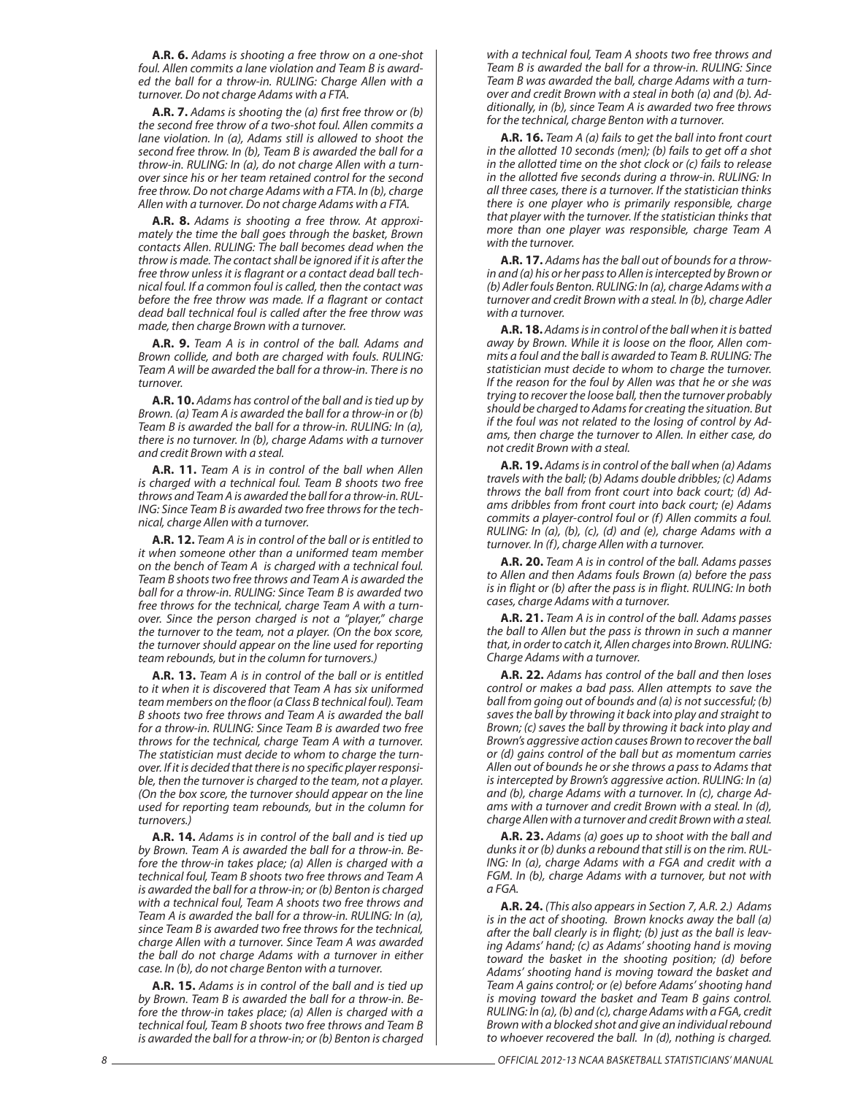**A.R. 6.** Adams is shooting a free throw on a one-shot foul. Allen commits a lane violation and Team B is awarded the ball for a throw-in. RULING: Charge Allen with a turnover. Do not charge Adams with a FTA.

**A.R. 7.** Adams is shooting the (a) first free throw or (b) the second free throw of a two-shot foul. Allen commits a lane violation. In (a), Adams still is allowed to shoot the second free throw. In (b), Team B is awarded the ball for a throw-in. RULING: In (a), do not charge Allen with a turnover since his or her team retained control for the second free throw. Do not charge Adams with a FTA. In (b), charge Allen with a turnover. Do not charge Adams with a FTA.

**A.R. 8.** Adams is shooting a free throw. At approximately the time the ball goes through the basket, Brown contacts Allen. RULING: The ball becomes dead when the throw is made. The contact shall be ignored if it is after the free throw unless it is flagrant or a contact dead ball technical foul. If a common foul is called, then the contact was before the free throw was made. If a flagrant or contact dead ball technical foul is called after the free throw was made, then charge Brown with a turnover.

**A.R. 9.** Team A is in control of the ball. Adams and Brown collide, and both are charged with fouls. RULING: Team A will be awarded the ball for a throw-in. There is no turnover.

**A.R. 10.** Adams has control of the ball and is tied up by Brown. (a) Team A is awarded the ball for a throw-in or (b) Team B is awarded the ball for a throw-in. RULING: In (a), there is no turnover. In (b), charge Adams with a turnover and credit Brown with a steal.

**A.R. 11.** Team A is in control of the ball when Allen is charged with a technical foul. Team B shoots two free throws and Team A is awarded the ball for a throw-in. RUL-ING: Since Team B is awarded two free throws for the technical, charge Allen with a turnover.

**A.R. 12.** Team A is in control of the ball or is entitled to it when someone other than a uniformed team member on the bench of Team A is charged with a technical foul. Team B shoots two free throws and Team A is awarded the ball for a throw-in. RULING: Since Team B is awarded two free throws for the technical, charge Team A with a turnover. Since the person charged is not a "player," charge the turnover to the team, not a player. (On the box score, the turnover should appear on the line used for reporting team rebounds, but in the column for turnovers.)

**A.R. 13.** Team A is in control of the ball or is entitled to it when it is discovered that Team A has six uniformed team members on the floor (a Class B technical foul). Team B shoots two free throws and Team A is awarded the ball for a throw-in. RULING: Since Team B is awarded two free throws for the technical, charge Team A with a turnover. The statistician must decide to whom to charge the turnover. If it is decided that there is no specific player responsible, then the turnover is charged to the team, not a player. (On the box score, the turnover should appear on the line used for reporting team rebounds, but in the column for turnovers.)

**A.R. 14.** Adams is in control of the ball and is tied up by Brown. Team A is awarded the ball for a throw-in. Before the throw-in takes place; (a) Allen is charged with a technical foul, Team B shoots two free throws and Team A is awarded the ball for a throw-in; or (b) Benton is charged with a technical foul, Team A shoots two free throws and Team A is awarded the ball for a throw-in. RULING: In (a), since Team B is awarded two free throws for the technical, charge Allen with a turnover. Since Team A was awarded the ball do not charge Adams with a turnover in either case. In (b), do not charge Benton with a turnover.

**A.R. 15.** Adams is in control of the ball and is tied up by Brown. Team B is awarded the ball for a throw-in. Before the throw-in takes place; (a) Allen is charged with a technical foul, Team B shoots two free throws and Team B is awarded the ball for a throw-in; or (b) Benton is charged with a technical foul, Team A shoots two free throws and Team B is awarded the ball for a throw-in. RULING: Since Team B was awarded the ball, charge Adams with a turnover and credit Brown with a steal in both (a) and (b). Additionally, in (b), since Team A is awarded two free throws for the technical, charge Benton with a turnover.

**A.R. 16.** Team A (a) fails to get the ball into front court in the allotted 10 seconds (men); (b) fails to get off a shot in the allotted time on the shot clock or (c) fails to release in the allotted five seconds during a throw-in. RULING: In all three cases, there is a turnover. If the statistician thinks there is one player who is primarily responsible, charge that player with the turnover. If the statistician thinks that more than one player was responsible, charge Team A with the turnover.

**A.R. 17.** Adams has the ball out of bounds for a throwin and (a) his or her pass to Allen is intercepted by Brown or (b) Adler fouls Benton. RULING: In (a), charge Adams with a turnover and credit Brown with a steal. In (b), charge Adler with a turnover.

**A.R. 18.** Adams is in control of the ball when it is batted away by Brown. While it is loose on the floor, Allen commits a foul and the ball is awarded to Team B. RULING: The statistician must decide to whom to charge the turnover. If the reason for the foul by Allen was that he or she was trying to recover the loose ball, then the turnover probably should be charged to Adams for creating the situation. But if the foul was not related to the losing of control by Adams, then charge the turnover to Allen. In either case, do not credit Brown with a steal.

**A.R. 19.** Adams is in control of the ball when (a) Adams travels with the ball; (b) Adams double dribbles; (c) Adams throws the ball from front court into back court; (d) Adams dribbles from front court into back court; (e) Adams commits a player-control foul or (f) Allen commits a foul. RULING: In (a), (b), (c), (d) and (e), charge Adams with a turnover. In (f), charge Allen with a turnover.

**A.R. 20.** Team A is in control of the ball. Adams passes to Allen and then Adams fouls Brown (a) before the pass is in flight or (b) after the pass is in flight. RULING: In both cases, charge Adams with a turnover.

**A.R. 21.** Team A is in control of the ball. Adams passes the ball to Allen but the pass is thrown in such a manner that, in order to catch it, Allen charges into Brown. RULING: Charge Adams with a turnover.

**A.R. 22.** Adams has control of the ball and then loses control or makes a bad pass. Allen attempts to save the ball from going out of bounds and (a) is not successful; (b) saves the ball by throwing it back into play and straight to Brown; (c) saves the ball by throwing it back into play and Brown's aggressive action causes Brown to recover the ball or (d) gains control of the ball but as momentum carries Allen out of bounds he or she throws a pass to Adams that is intercepted by Brown's aggressive action. RULING: In (a) and (b), charge Adams with a turnover. In (c), charge Adams with a turnover and credit Brown with a steal. In (d), charge Allen with a turnover and credit Brown with a steal.

**A.R. 23.** Adams (a) goes up to shoot with the ball and dunks it or (b) dunks a rebound that still is on the rim. RUL-ING: In (a), charge Adams with a FGA and credit with a FGM. In (b), charge Adams with a turnover, but not with a FGA.

**A.R. 24.** (This also appears in Section 7, A.R. 2.) Adams is in the act of shooting. Brown knocks away the ball (a) after the ball clearly is in flight; (b) just as the ball is leaving Adams' hand; (c) as Adams' shooting hand is moving toward the basket in the shooting position; (d) before Adams' shooting hand is moving toward the basket and Team A gains control; or (e) before Adams' shooting hand is moving toward the basket and Team B gains control. RULING: In (a), (b) and (c), charge Adams with a FGA, credit Brown with a blocked shot and give an individual rebound to whoever recovered the ball. In (d), nothing is charged.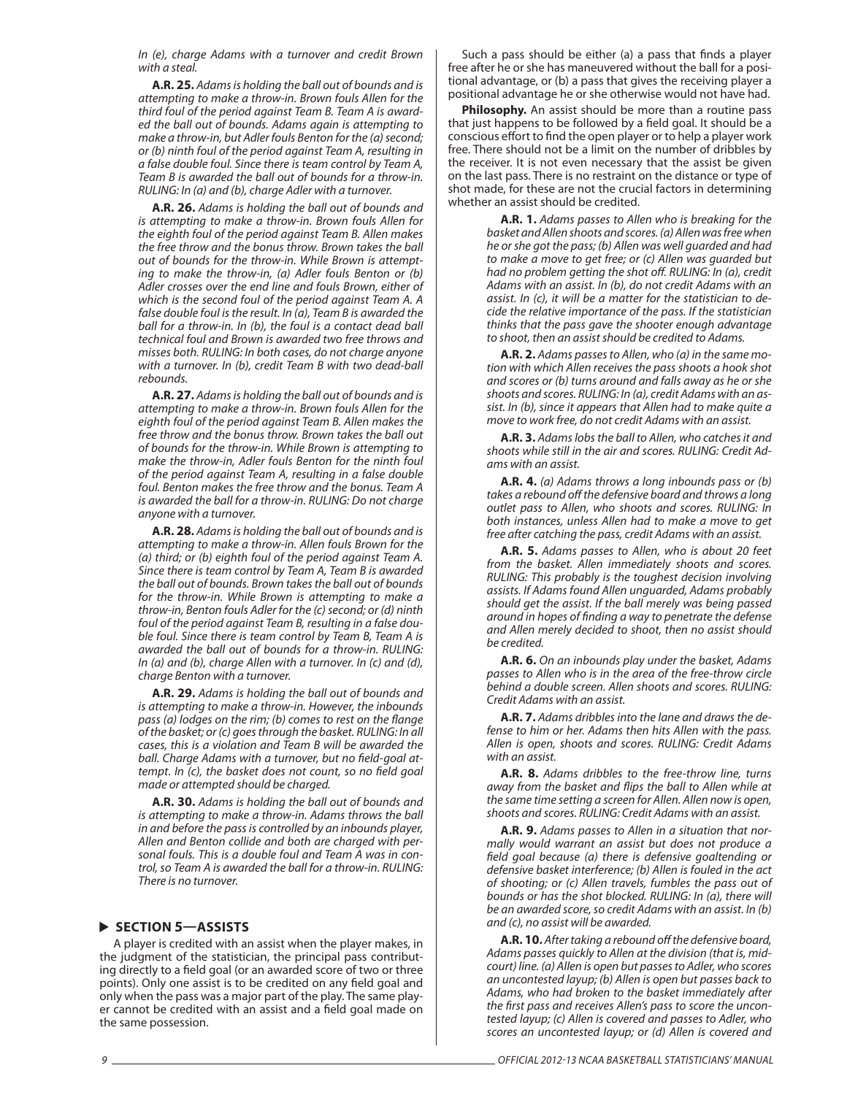In (e), charge Adams with a turnover and credit Brown with a steal.

**A.R. 25.** Adams is holding the ball out of bounds and is attempting to make a throw-in. Brown fouls Allen for the third foul of the period against Team B. Team A is awarded the ball out of bounds. Adams again is attempting to make a throw-in, but Adler fouls Benton for the (a) second; or (b) ninth foul of the period against Team A, resulting in a false double foul. Since there is team control by Team A, Team B is awarded the ball out of bounds for a throw-in. RULING: In (a) and (b), charge Adler with a turnover.

**A.R. 26.** Adams is holding the ball out of bounds and is attempting to make a throw-in. Brown fouls Allen for the eighth foul of the period against Team B. Allen makes the free throw and the bonus throw. Brown takes the ball out of bounds for the throw-in. While Brown is attempting to make the throw-in, (a) Adler fouls Benton or (b) Adler crosses over the end line and fouls Brown, either of which is the second foul of the period against Team A. A false double foul is the result. In (a), Team B is awarded the ball for a throw-in. In (b), the foul is a contact dead ball technical foul and Brown is awarded two free throws and misses both. RULING: In both cases, do not charge anyone with a turnover. In (b), credit Team B with two dead-ball rebounds.

**A.R. 27.** Adams is holding the ball out of bounds and is attempting to make a throw-in. Brown fouls Allen for the eighth foul of the period against Team B. Allen makes the free throw and the bonus throw. Brown takes the ball out of bounds for the throw-in. While Brown is attempting to make the throw-in, Adler fouls Benton for the ninth foul of the period against Team A, resulting in a false double foul. Benton makes the free throw and the bonus. Team A is awarded the ball for a throw-in. RULING: Do not charge anyone with a turnover.

**A.R. 28.** Adams is holding the ball out of bounds and is attempting to make a throw-in. Allen fouls Brown for the (a) third; or (b) eighth foul of the period against Team A. Since there is team control by Team A, Team B is awarded the ball out of bounds. Brown takes the ball out of bounds for the throw-in. While Brown is attempting to make a throw-in, Benton fouls Adler for the (c) second; or (d) ninth foul of the period against Team B, resulting in a false double foul. Since there is team control by Team B, Team A is awarded the ball out of bounds for a throw-in. RULING: In (a) and (b), charge Allen with a turnover. In (c) and (d), charge Benton with a turnover.

**A.R. 29.** Adams is holding the ball out of bounds and is attempting to make a throw-in. However, the inbounds pass (a) lodges on the rim; (b) comes to rest on the flange of the basket; or (c) goes through the basket. RULING: In all cases, this is a violation and Team B will be awarded the ball. Charge Adams with a turnover, but no field-goal attempt. In (c), the basket does not count, so no field goal made or attempted should be charged.

**A.R. 30.** Adams is holding the ball out of bounds and is attempting to make a throw-in. Adams throws the ball in and before the pass is controlled by an inbounds player, Allen and Benton collide and both are charged with personal fouls. This is a double foul and Team A was in control, so Team A is awarded the ball for a throw-in. RULING: There is no turnover.

#### **SECTION 5—ASSISTS**

A player is credited with an assist when the player makes, in the judgment of the statistician, the principal pass contributing directly to a field goal (or an awarded score of two or three points). Only one assist is to be credited on any field goal and only when the pass was a major part of the play. The same player cannot be credited with an assist and a field goal made on the same possession.

Such a pass should be either (a) a pass that finds a player free after he or she has maneuvered without the ball for a positional advantage, or (b) a pass that gives the receiving player a positional advantage he or she otherwise would not have had.

**Philosophy.** An assist should be more than a routine pass that just happens to be followed by a field goal. It should be a conscious effort to find the open player or to help a player work free. There should not be a limit on the number of dribbles by the receiver. It is not even necessary that the assist be given on the last pass. There is no restraint on the distance or type of shot made, for these are not the crucial factors in determining whether an assist should be credited.

> **A.R. 1.** Adams passes to Allen who is breaking for the basket and Allen shoots and scores. (a) Allen was free when he or she got the pass; (b) Allen was well guarded and had to make a move to get free; or (c) Allen was guarded but had no problem getting the shot off. RULING: In (a), credit Adams with an assist. In (b), do not credit Adams with an assist. In (c), it will be a matter for the statistician to decide the relative importance of the pass. If the statistician thinks that the pass gave the shooter enough advantage to shoot, then an assist should be credited to Adams.

> **A.R. 2.** Adams passes to Allen, who (a) in the same motion with which Allen receives the pass shoots a hook shot and scores or (b) turns around and falls away as he or she shoots and scores. RULING: In (a), credit Adams with an assist. In (b), since it appears that Allen had to make quite a move to work free, do not credit Adams with an assist.

> **A.R. 3.** Adams lobs the ball to Allen, who catches it and shoots while still in the air and scores. RULING: Credit Adams with an assist.

> **A.R. 4.** (a) Adams throws a long inbounds pass or (b) takes a rebound off the defensive board and throws a long outlet pass to Allen, who shoots and scores. RULING: In both instances, unless Allen had to make a move to get free after catching the pass, credit Adams with an assist.

> **A.R. 5.** Adams passes to Allen, who is about 20 feet from the basket. Allen immediately shoots and scores. RULING: This probably is the toughest decision involving assists. If Adams found Allen unguarded, Adams probably should get the assist. If the ball merely was being passed around in hopes of finding a way to penetrate the defense and Allen merely decided to shoot, then no assist should be credited.

> **A.R. 6.** On an inbounds play under the basket, Adams passes to Allen who is in the area of the free-throw circle behind a double screen. Allen shoots and scores. RULING: Credit Adams with an assist.

> **A.R. 7.** Adams dribbles into the lane and draws the defense to him or her. Adams then hits Allen with the pass. Allen is open, shoots and scores. RULING: Credit Adams with an assist.

> **A.R. 8.** Adams dribbles to the free-throw line, turns away from the basket and flips the ball to Allen while at the same time setting a screen for Allen. Allen now is open, shoots and scores. RULING: Credit Adams with an assist.

> **A.R. 9.** Adams passes to Allen in a situation that normally would warrant an assist but does not produce a field goal because (a) there is defensive goaltending or defensive basket interference; (b) Allen is fouled in the act of shooting; or (c) Allen travels, fumbles the pass out of bounds or has the shot blocked. RULING: In (a), there will be an awarded score, so credit Adams with an assist. In (b) and (c), no assist will be awarded.

> **A.R. 10.** After taking a rebound off the defensive board, Adams passes quickly to Allen at the division (that is, midcourt) line. (a) Allen is open but passes to Adler, who scores an uncontested layup; (b) Allen is open but passes back to Adams, who had broken to the basket immediately after the first pass and receives Allen's pass to score the uncontested layup; (c) Allen is covered and passes to Adler, who scores an uncontested layup; or (d) Allen is covered and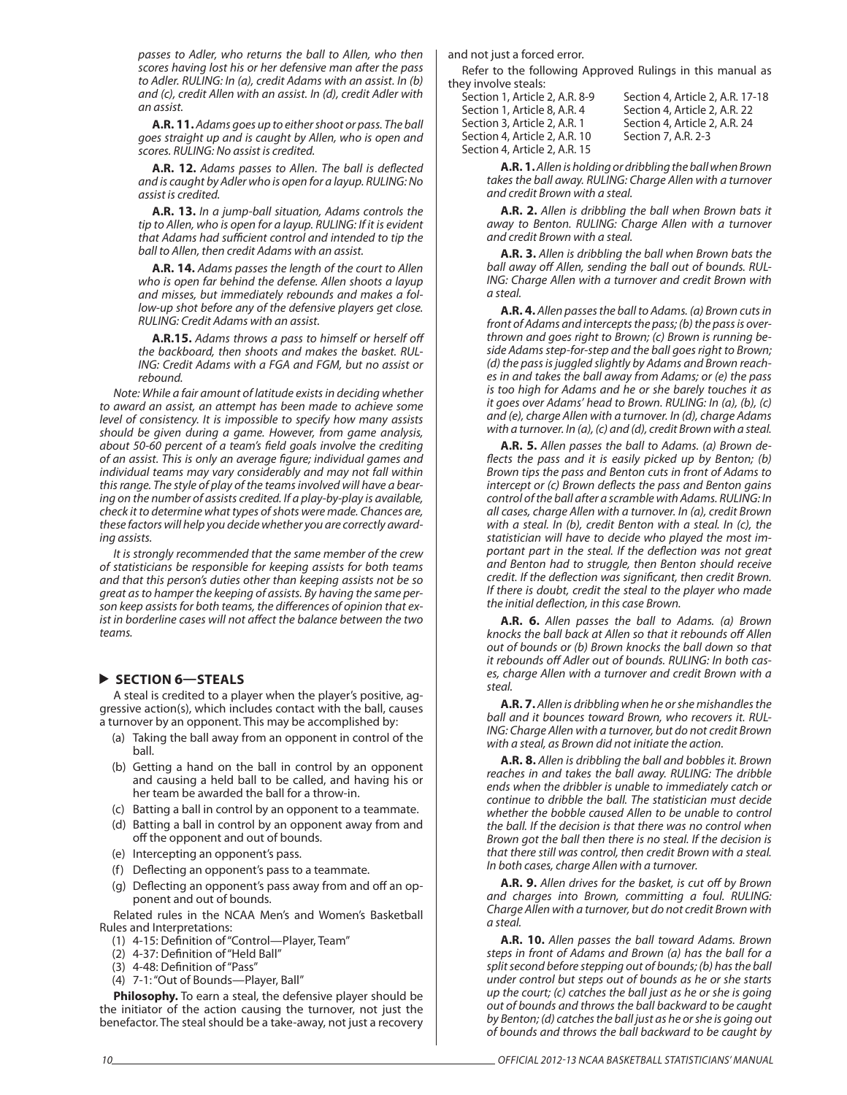passes to Adler, who returns the ball to Allen, who then scores having lost his or her defensive man after the pass to Adler. RULING: In (a), credit Adams with an assist. In (b) and (c), credit Allen with an assist. In (d), credit Adler with an assist.

**A.R. 11.** Adams goes up to either shoot or pass. The ball goes straight up and is caught by Allen, who is open and scores. RULING: No assist is credited.

A.R. 12. Adams passes to Allen. The ball is deflected and is caught by Adler who is open for a layup. RULING: No assist is credited.

**A.R. 13.** In a jump-ball situation, Adams controls the tip to Allen, who is open for a layup. RULING: If it is evident that Adams had sufficient control and intended to tip the ball to Allen, then credit Adams with an assist.

**A.R. 14.** Adams passes the length of the court to Allen who is open far behind the defense. Allen shoots a layup and misses, but immediately rebounds and makes a follow-up shot before any of the defensive players get close. RULING: Credit Adams with an assist.

**A.R.15.** Adams throws a pass to himself or herself off the backboard, then shoots and makes the basket. RUL-ING: Credit Adams with a FGA and FGM, but no assist or rebound.

Note: While a fair amount of latitude exists in deciding whether to award an assist, an attempt has been made to achieve some level of consistency. It is impossible to specify how many assists should be given during a game. However, from game analysis, about 50-60 percent of a team's field goals involve the crediting of an assist. This is only an average figure; individual games and individual teams may vary considerably and may not fall within this range. The style of play of the teams involved will have a bearing on the number of assists credited. If a play-by-play is available, check it to determine what types of shots were made. Chances are, these factors will help you decide whether you are correctly awarding assists.

It is strongly recommended that the same member of the crew of statisticians be responsible for keeping assists for both teams and that this person's duties other than keeping assists not be so great as to hamper the keeping of assists. By having the same person keep assists for both teams, the differences of opinion that exist in borderline cases will not affect the balance between the two teams.

### **SECTION 6—STEALS**

A steal is credited to a player when the player's positive, aggressive action(s), which includes contact with the ball, causes a turnover by an opponent. This may be accomplished by:

- (a) Taking the ball away from an opponent in control of the ball.
- (b) Getting a hand on the ball in control by an opponent and causing a held ball to be called, and having his or her team be awarded the ball for a throw-in.
- (c) Batting a ball in control by an opponent to a teammate.
- (d) Batting a ball in control by an opponent away from and off the opponent and out of bounds.
- (e) Intercepting an opponent's pass.
- (f) Deflecting an opponent's pass to a teammate.
- (g) Deflecting an opponent's pass away from and off an opponent and out of bounds.

Related rules in the NCAA Men's and Women's Basketball Rules and Interpretations:

- (1) 4-15: Definition of "Control--Player, Team"
- $(2)$  4-37: Definition of "Held Ball"
- (3) 4-48: Definition of "Pass"
- (4) 7-1: "Out of Bounds—Player, Ball"

**Philosophy.** To earn a steal, the defensive player should be the initiator of the action causing the turnover, not just the benefactor. The steal should be a take-away, not just a recovery

and not just a forced error.

Refer to the following Approved Rulings in this manual as they involve steals:

| Section 1, Article 2, A.R. 8-9 |  |
|--------------------------------|--|
| Section 1. Article 8. A.R. 4   |  |
| Section 3, Article 2, A.R. 1   |  |
| Section 4, Article 2, A.R. 10  |  |
| Section 4, Article 2, A.R. 15  |  |

Section 4, Article 2, A.R. 17-18 Section 4, Article 2, A.R. 22 Section 4, Article 2, A.R. 24 Section 7, A.R. 2-3

**A.R. 1.** Allen is holding or dribbling the ball when Brown takes the ball away. RULING: Charge Allen with a turnover and credit Brown with a steal.

**A.R. 2.** Allen is dribbling the ball when Brown bats it away to Benton. RULING: Charge Allen with a turnover and credit Brown with a steal.

**A.R. 3.** Allen is dribbling the ball when Brown bats the ball away off Allen, sending the ball out of bounds. RUL-ING: Charge Allen with a turnover and credit Brown with a steal.

**A.R. 4.** Allen passes the ball to Adams. (a) Brown cuts in front of Adams and intercepts the pass; (b) the pass is overthrown and goes right to Brown; (c) Brown is running beside Adams step-for-step and the ball goes right to Brown; (d) the pass is juggled slightly by Adams and Brown reaches in and takes the ball away from Adams; or (e) the pass is too high for Adams and he or she barely touches it as it goes over Adams' head to Brown. RULING: In (a), (b), (c) and (e), charge Allen with a turnover. In (d), charge Adams with a turnover. In (a), (c) and (d), credit Brown with a steal.

**A.R. 5.** Allen passes the ball to Adams. (a) Brown deflects the pass and it is easily picked up by Benton;  $(b)$ Brown tips the pass and Benton cuts in front of Adams to intercept or (c) Brown deflects the pass and Benton gains control of the ball after a scramble with Adams. RULING: In all cases, charge Allen with a turnover. In (a), credit Brown with a steal. In (b), credit Benton with a steal. In (c), the statistician will have to decide who played the most important part in the steal. If the deflection was not great and Benton had to struggle, then Benton should receive credit. If the deflection was significant, then credit Brown. If there is doubt, credit the steal to the player who made the initial deflection, in this case Brown.

**A.R. 6.** Allen passes the ball to Adams. (a) Brown knocks the ball back at Allen so that it rebounds off Allen out of bounds or (b) Brown knocks the ball down so that it rebounds off Adler out of bounds. RULING: In both cases, charge Allen with a turnover and credit Brown with a steal.

**A.R. 7.** Allen is dribbling when he or she mishandles the ball and it bounces toward Brown, who recovers it. RUL-ING: Charge Allen with a turnover, but do not credit Brown with a steal, as Brown did not initiate the action.

**A.R. 8.** Allen is dribbling the ball and bobbles it. Brown reaches in and takes the ball away. RULING: The dribble ends when the dribbler is unable to immediately catch or continue to dribble the ball. The statistician must decide whether the bobble caused Allen to be unable to control the ball. If the decision is that there was no control when Brown got the ball then there is no steal. If the decision is that there still was control, then credit Brown with a steal. In both cases, charge Allen with a turnover.

**A.R. 9.** Allen drives for the basket, is cut off by Brown and charges into Brown, committing a foul. RULING: Charge Allen with a turnover, but do not credit Brown with a steal.

**A.R. 10.** Allen passes the ball toward Adams. Brown steps in front of Adams and Brown (a) has the ball for a split second before stepping out of bounds; (b) has the ball under control but steps out of bounds as he or she starts up the court; (c) catches the ball just as he or she is going out of bounds and throws the ball backward to be caught by Benton; (d) catches the ball just as he or she is going out of bounds and throws the ball backward to be caught by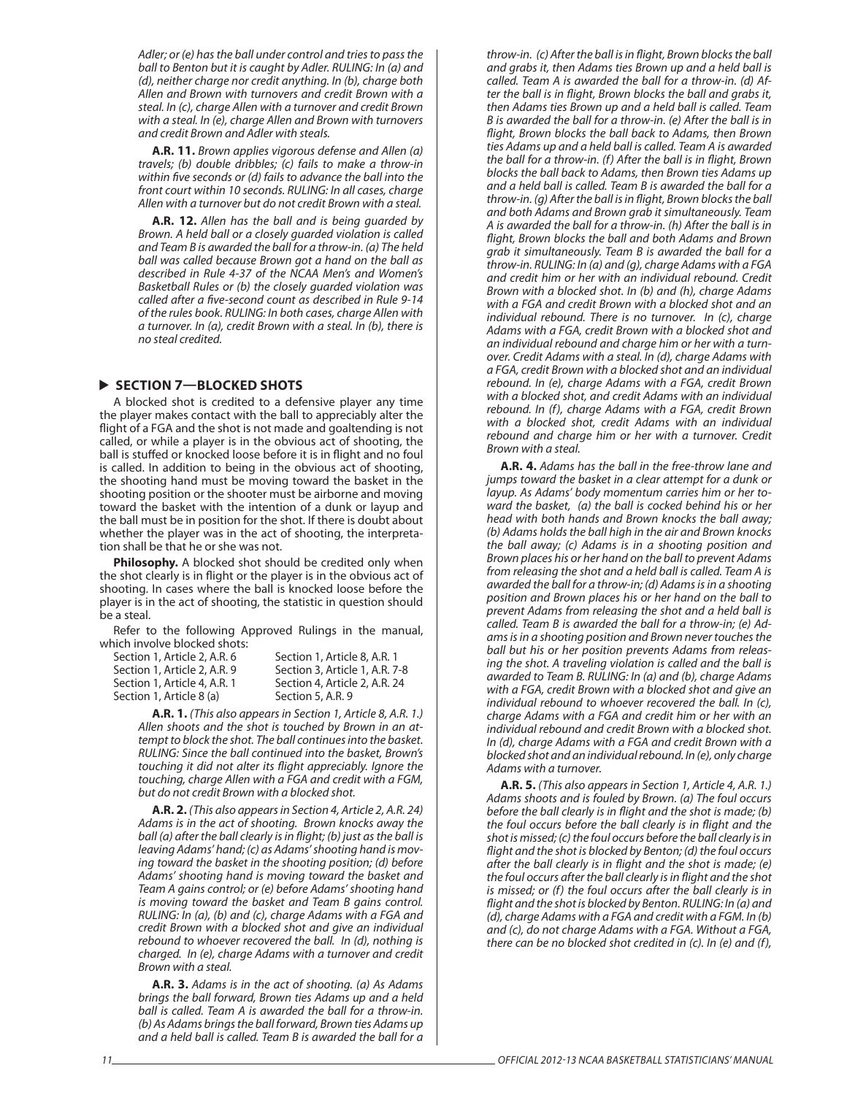Adler; or (e) has the ball under control and tries to pass the ball to Benton but it is caught by Adler. RULING: In (a) and (d), neither charge nor credit anything. In (b), charge both Allen and Brown with turnovers and credit Brown with a steal. In (c), charge Allen with a turnover and credit Brown with a steal. In (e), charge Allen and Brown with turnovers and credit Brown and Adler with steals.

**A.R. 11.** Brown applies vigorous defense and Allen (a) travels; (b) double dribbles; (c) fails to make a throw-in within five seconds or (d) fails to advance the ball into the front court within 10 seconds. RULING: In all cases, charge Allen with a turnover but do not credit Brown with a steal.

**A.R. 12.** Allen has the ball and is being guarded by Brown. A held ball or a closely guarded violation is called and Team B is awarded the ball for a throw-in. (a) The held ball was called because Brown got a hand on the ball as described in Rule 4-37 of the NCAA Men's and Women's Basketball Rules or (b) the closely guarded violation was called after a five-second count as described in Rule 9-14 of the rules book. RULING: In both cases, charge Allen with a turnover. In (a), credit Brown with a steal. In (b), there is no steal credited.

### **BLOCKED SHOTS**

A blocked shot is credited to a defensive player any time the player makes contact with the ball to appreciably alter the flight of a FGA and the shot is not made and goaltending is not called, or while a player is in the obvious act of shooting, the ball is stuffed or knocked loose before it is in flight and no foul is called. In addition to being in the obvious act of shooting, the shooting hand must be moving toward the basket in the shooting position or the shooter must be airborne and moving toward the basket with the intention of a dunk or layup and the ball must be in position for the shot. If there is doubt about whether the player was in the act of shooting, the interpretation shall be that he or she was not.

**Philosophy.** A blocked shot should be credited only when the shot clearly is in flight or the player is in the obvious act of shooting. In cases where the ball is knocked loose before the player is in the act of shooting, the statistic in question should be a steal.

Refer to the following Approved Rulings in the manual, which involve blocked shots:

| Section 1. Article 2. A.R. 6 | Section 1, Article 8, A.R. 1   |
|------------------------------|--------------------------------|
| Section 1. Article 2. A.R. 9 | Section 3, Article 1, A.R. 7-8 |
| Section 1, Article 4, A.R. 1 | Section 4, Article 2, A.R. 24  |
| Section 1, Article 8 (a)     | Section 5, A.R. 9              |
|                              |                                |

**A.R. 1.** (This also appears in Section 1, Article 8, A.R. 1.) Allen shoots and the shot is touched by Brown in an attempt to block the shot. The ball continues into the basket. RULING: Since the ball continued into the basket, Brown's touching it did not alter its flight appreciably. Ignore the touching, charge Allen with a FGA and credit with a FGM, but do not credit Brown with a blocked shot.

**A.R. 2.** (This also appears in Section 4, Article 2, A.R. 24) Adams is in the act of shooting. Brown knocks away the ball (a) after the ball clearly is in flight; (b) just as the ball is leaving Adams' hand; (c) as Adams' shooting hand is moving toward the basket in the shooting position; (d) before Adams' shooting hand is moving toward the basket and Team A gains control; or (e) before Adams' shooting hand is moving toward the basket and Team B gains control. RULING: In (a), (b) and (c), charge Adams with a FGA and credit Brown with a blocked shot and give an individual rebound to whoever recovered the ball. In (d), nothing is charged. In (e), charge Adams with a turnover and credit Brown with a steal.

**A.R. 3.** Adams is in the act of shooting. (a) As Adams brings the ball forward, Brown ties Adams up and a held ball is called. Team A is awarded the ball for a throw-in. (b) As Adams brings the ball forward, Brown ties Adams up and a held ball is called. Team B is awarded the ball for a throw-in. (c) After the ball is in flight, Brown blocks the ball and grabs it, then Adams ties Brown up and a held ball is called. Team A is awarded the ball for a throw-in. (d) After the ball is in flight, Brown blocks the ball and grabs it, then Adams ties Brown up and a held ball is called. Team B is awarded the ball for a throw-in. (e) After the ball is in flight, Brown blocks the ball back to Adams, then Brown ties Adams up and a held ball is called. Team A is awarded the ball for a throw-in. (f) After the ball is in flight, Brown blocks the ball back to Adams, then Brown ties Adams up and a held ball is called. Team B is awarded the ball for a throw-in. (g) After the ball is in flight, Brown blocks the ball and both Adams and Brown grab it simultaneously. Team A is awarded the ball for a throw-in. (h) After the ball is in flight, Brown blocks the ball and both Adams and Brown grab it simultaneously. Team B is awarded the ball for a throw-in. RULING: In (a) and (g), charge Adams with a FGA and credit him or her with an individual rebound. Credit Brown with a blocked shot. In (b) and (h), charge Adams with a FGA and credit Brown with a blocked shot and an individual rebound. There is no turnover. In (c), charge Adams with a FGA, credit Brown with a blocked shot and an individual rebound and charge him or her with a turnover. Credit Adams with a steal. In (d), charge Adams with a FGA, credit Brown with a blocked shot and an individual rebound. In (e), charge Adams with a FGA, credit Brown with a blocked shot, and credit Adams with an individual rebound. In (f), charge Adams with a FGA, credit Brown with a blocked shot, credit Adams with an individual rebound and charge him or her with a turnover. Credit Brown with a steal.

**A.R. 4.** Adams has the ball in the free-throw lane and jumps toward the basket in a clear attempt for a dunk or layup. As Adams' body momentum carries him or her toward the basket, (a) the ball is cocked behind his or her head with both hands and Brown knocks the ball away; (b) Adams holds the ball high in the air and Brown knocks the ball away; (c) Adams is in a shooting position and Brown places his or her hand on the ball to prevent Adams from releasing the shot and a held ball is called. Team A is awarded the ball for a throw-in; (d) Adams is in a shooting position and Brown places his or her hand on the ball to prevent Adams from releasing the shot and a held ball is called. Team B is awarded the ball for a throw-in; (e) Adams is in a shooting position and Brown never touches the ball but his or her position prevents Adams from releasing the shot. A traveling violation is called and the ball is awarded to Team B. RULING: In (a) and (b), charge Adams with a FGA, credit Brown with a blocked shot and give an individual rebound to whoever recovered the ball. In (c), charge Adams with a FGA and credit him or her with an individual rebound and credit Brown with a blocked shot. In (d), charge Adams with a FGA and credit Brown with a blocked shot and an individual rebound. In (e), only charge Adams with a turnover.

**A.R. 5.** (This also appears in Section 1, Article 4, A.R. 1.) Adams shoots and is fouled by Brown. (a) The foul occurs before the ball clearly is in flight and the shot is made; (b) the foul occurs before the ball clearly is in flight and the shot is missed; (c) the foul occurs before the ball clearly is in flight and the shot is blocked by Benton; (d) the foul occurs after the ball clearly is in flight and the shot is made; (e) the foul occurs after the ball clearly is in flight and the shot is missed; or (f) the foul occurs after the ball clearly is in flight and the shot is blocked by Benton. RULING: In (a) and (d), charge Adams with a FGA and credit with a FGM. In (b) and (c), do not charge Adams with a FGA. Without a FGA, there can be no blocked shot credited in (c). In (e) and (f),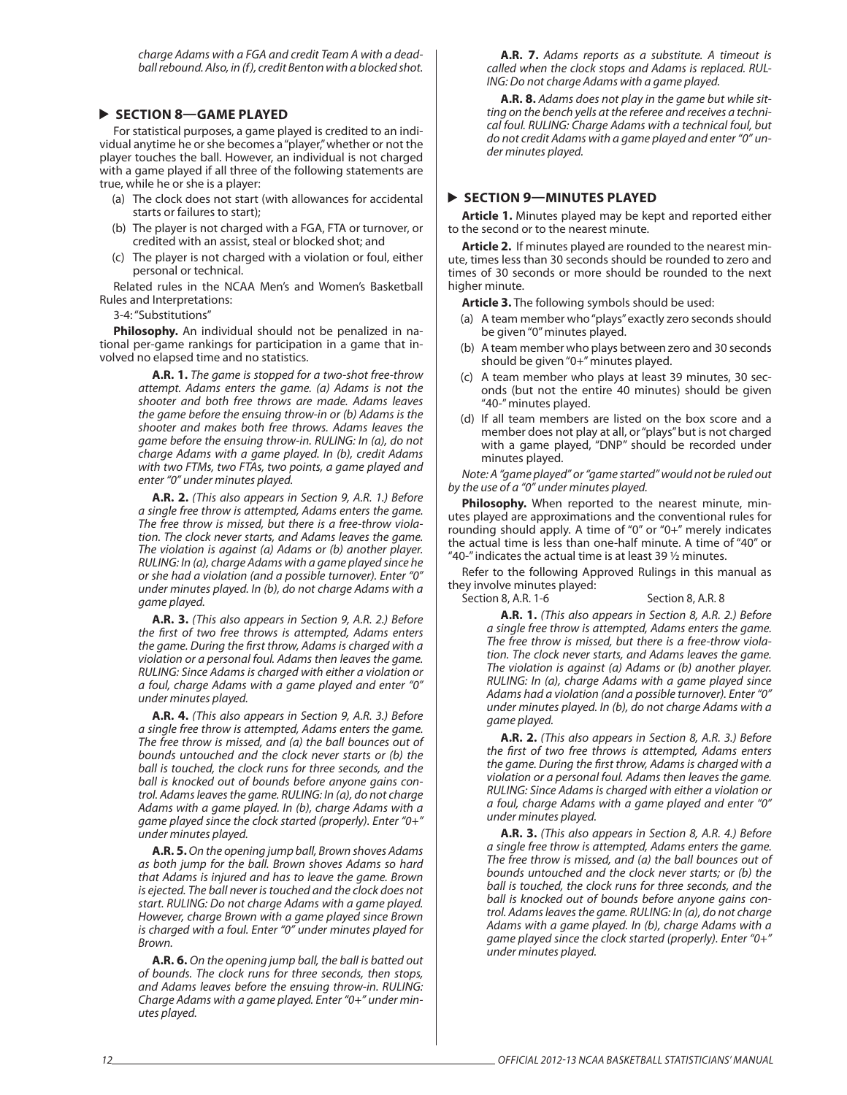charge Adams with a FGA and credit Team A with a deadball rebound. Also, in (f), credit Benton with a blocked shot.

### **SECTION 8—GAME PLAYED**

For statistical purposes, a game played is credited to an individual anytime he or she becomes a "player," whether or not the player touches the ball. However, an individual is not charged with a game played if all three of the following statements are true, while he or she is a player:

- (a) The clock does not start (with allowances for accidental starts or failures to start);
- (b) The player is not charged with a FGA, FTA or turnover, or credited with an assist, steal or blocked shot; and
- (c) The player is not charged with a violation or foul, either personal or technical.

Related rules in the NCAA Men's and Women's Basketball Rules and Interpretations:

3-4: "Substitutions"

**Philosophy.** An individual should not be penalized in national per-game rankings for participation in a game that involved no elapsed time and no statistics.

> **A.R. 1.** The game is stopped for a two-shot free-throw attempt. Adams enters the game. (a) Adams is not the shooter and both free throws are made. Adams leaves the game before the ensuing throw-in or (b) Adams is the shooter and makes both free throws. Adams leaves the game before the ensuing throw-in. RULING: In (a), do not charge Adams with a game played. In (b), credit Adams with two FTMs, two FTAs, two points, a game played and enter "0" under minutes played.

> **A.R. 2.** (This also appears in Section 9, A.R. 1.) Before a single free throw is attempted, Adams enters the game. The free throw is missed, but there is a free-throw violation. The clock never starts, and Adams leaves the game. The violation is against (a) Adams or (b) another player. RULING: In (a), charge Adams with a game played since he or she had a violation (and a possible turnover). Enter "0" under minutes played. In (b), do not charge Adams with a game played.

> **A.R. 3.** (This also appears in Section 9, A.R. 2.) Before the first of two free throws is attempted, Adams enters the game. During the first throw, Adams is charged with a violation or a personal foul. Adams then leaves the game. RULING: Since Adams is charged with either a violation or a foul, charge Adams with a game played and enter "0" under minutes played.

> **A.R. 4.** (This also appears in Section 9, A.R. 3.) Before a single free throw is attempted, Adams enters the game. The free throw is missed, and (a) the ball bounces out of bounds untouched and the clock never starts or (b) the ball is touched, the clock runs for three seconds, and the ball is knocked out of bounds before anyone gains control. Adams leaves the game. RULING: In (a), do not charge Adams with a game played. In (b), charge Adams with a game played since the clock started (properly). Enter "0+" under minutes played.

> **A.R. 5.** On the opening jump ball, Brown shoves Adams as both jump for the ball. Brown shoves Adams so hard that Adams is injured and has to leave the game. Brown is ejected. The ball never is touched and the clock does not start. RULING: Do not charge Adams with a game played. However, charge Brown with a game played since Brown is charged with a foul. Enter "0" under minutes played for Brown.

> **A.R. 6.** On the opening jump ball, the ball is batted out of bounds. The clock runs for three seconds, then stops, and Adams leaves before the ensuing throw-in. RULING: Charge Adams with a game played. Enter "0+" under minutes played.

**A.R. 7.** Adams reports as a substitute. A timeout is called when the clock stops and Adams is replaced. RUL-ING: Do not charge Adams with a game played.

**A.R. 8.** Adams does not play in the game but while sitting on the bench yells at the referee and receives a technical foul. RULING: Charge Adams with a technical foul, but do not credit Adams with a game played and enter "0" under minutes played.

### **SECTION 9—MINUTES PLAYED**

**Article 1.** Minutes played may be kept and reported either to the second or to the nearest minute.

**Article 2.** If minutes played are rounded to the nearest minute, times less than 30 seconds should be rounded to zero and times of 30 seconds or more should be rounded to the next higher minute.

**Article 3.** The following symbols should be used:

- (a) A team member who "plays" exactly zero seconds should be given "0" minutes played.
- (b) A team member who plays between zero and 30 seconds should be given "0+" minutes played.
- (c) A team member who plays at least 39 minutes, 30 seconds (but not the entire 40 minutes) should be given "40-" minutes played.
- (d) If all team members are listed on the box score and a member does not play at all, or "plays" but is not charged with a game played, "DNP" should be recorded under minutes played.

Note: A "game played" or "game started" would not be ruled out by the use of a "0" under minutes played.

Philosophy. When reported to the nearest minute, minutes played are approximations and the conventional rules for rounding should apply. A time of "0" or "0+" merely indicates the actual time is less than one-half minute. A time of "40" or "40-" indicates the actual time is at least 39  $\frac{1}{2}$  minutes.

Refer to the following Approved Rulings in this manual as they involve minutes played:

Section 8, A.R. 1-6 Section 8, A.R. 8

**A.R. 1.** (This also appears in Section 8, A.R. 2.) Before a single free throw is attempted, Adams enters the game. The free throw is missed, but there is a free-throw violation. The clock never starts, and Adams leaves the game. The violation is against (a) Adams or (b) another player. RULING: In (a), charge Adams with a game played since Adams had a violation (and a possible turnover). Enter "0" under minutes played. In (b), do not charge Adams with a game played.

**A.R. 2.** (This also appears in Section 8, A.R. 3.) Before the first of two free throws is attempted, Adams enters the game. During the first throw, Adams is charged with a violation or a personal foul. Adams then leaves the game. RULING: Since Adams is charged with either a violation or a foul, charge Adams with a game played and enter "0" under minutes played.

**A.R. 3.** (This also appears in Section 8, A.R. 4.) Before a single free throw is attempted, Adams enters the game. The free throw is missed, and (a) the ball bounces out of bounds untouched and the clock never starts; or (b) the ball is touched, the clock runs for three seconds, and the ball is knocked out of bounds before anyone gains control. Adams leaves the game. RULING: In (a), do not charge Adams with a game played. In (b), charge Adams with a game played since the clock started (properly). Enter "0+" under minutes played.